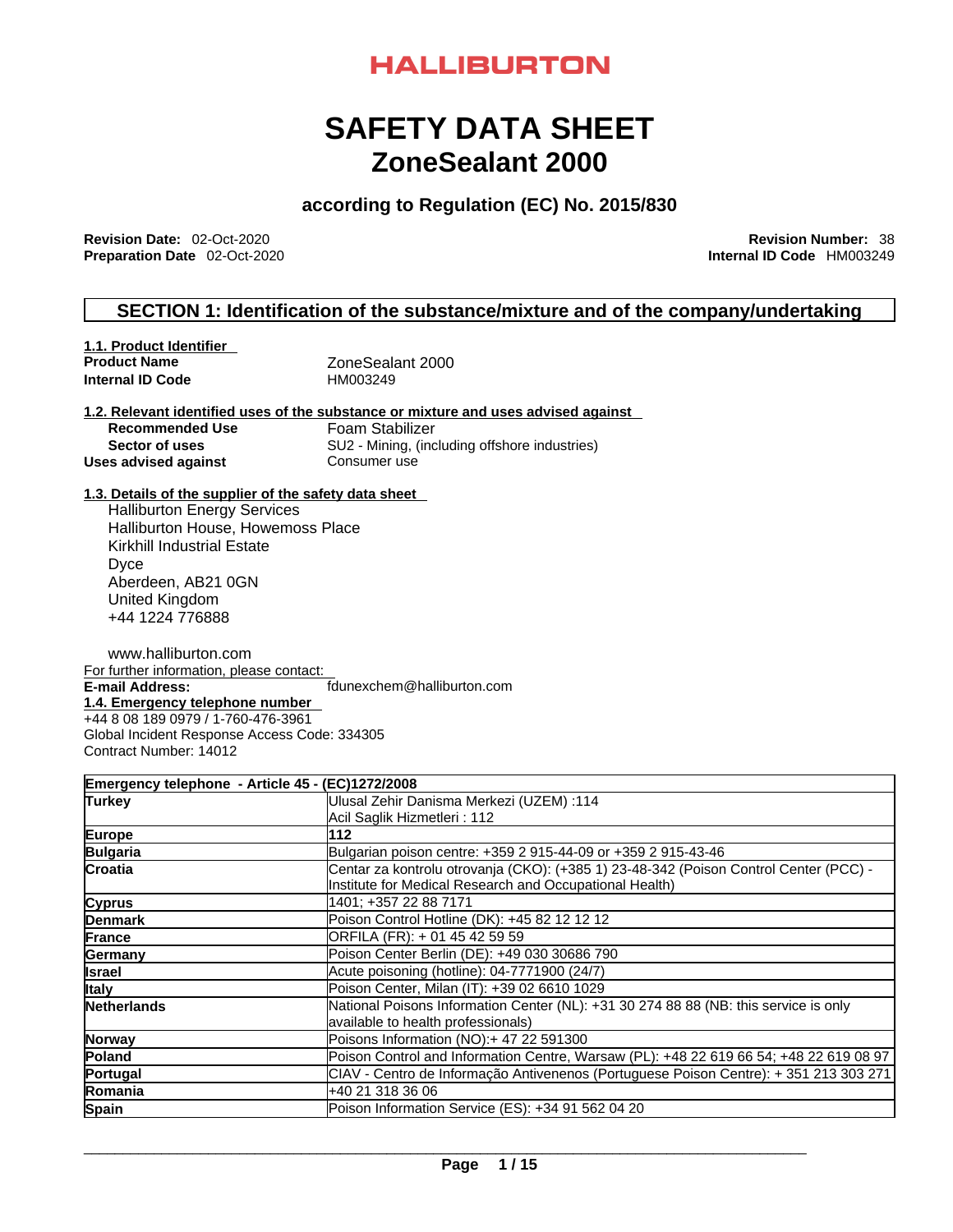### **HALLIBURTON**

## **SAFETY DATA SHEET ZoneSealant 2000**

### **according to Regulation (EC) No. 2015/830**

**Revision Date:** 02-Oct-2020 **Revision Number:** 38 **Preparation Date** 02-Oct-2020

#### **SECTION 1: Identification of the substance/mixture and of the company/undertaking**

| 1.1. Product Identifier |                  |  |
|-------------------------|------------------|--|
| <b>Product Name</b>     | ZoneSealant 2000 |  |
| <b>Internal ID Code</b> | HM003249         |  |

## **1.2. Relevant identified uses of the substance or mixture and uses advised against**

**Recommended Use** Foam Stabilizer<br>**Sector of uses SU2** - Mining. (inc **SU2 - Mining, (including offshore industries)<br>Consumer use Uses** advised against

#### **1.3. Details of the supplier of the safety data sheet**

Halliburton Energy Services Halliburton House, Howemoss Place Kirkhill Industrial Estate Dyce Aberdeen, AB21 0GN United Kingdom +44 1224 776888

www.halliburton.com For further information, please contact:<br>E-mail Address: **E-mail Address:** fdunexchem@halliburton.com **1.4. Emergency telephone number**  +44 8 08 189 0979 / 1-760-476-3961 Global Incident Response Access Code: 334305

Contract Number: 14012

|                    | Emergency telephone - Article 45 - (EC)1272/2008                                       |
|--------------------|----------------------------------------------------------------------------------------|
| Turkey             | Ulusal Zehir Danisma Merkezi (UZEM) :114                                               |
|                    | Acil Saglik Hizmetleri: 112                                                            |
| Europe             | 112                                                                                    |
| <b>Bulgaria</b>    | Bulgarian poison centre: +359 2 915-44-09 or +359 2 915-43-46                          |
| <b>Croatia</b>     | Centar za kontrolu otrovanja (CKO): (+385 1) 23-48-342 (Poison Control Center (PCC) -  |
|                    | Institute for Medical Research and Occupational Health)                                |
| <b>Cyprus</b>      | 1401: +357 22 88 7171                                                                  |
| <b>Denmark</b>     | Poison Control Hotline (DK): +45 82 12 12 12                                           |
| France             | ORFILA (FR): + 01 45 42 59 59                                                          |
| Germany            | Poison Center Berlin (DE): +49 030 30686 790                                           |
| <b>Israel</b>      | Acute poisoning (hotline): 04-7771900 (24/7)                                           |
| <b>Italy</b>       | Poison Center, Milan (IT): +39 02 6610 1029                                            |
| <b>Netherlands</b> | National Poisons Information Center (NL): +31 30 274 88 88 (NB: this service is only   |
|                    | available to health professionals)                                                     |
| Norway             | Poisons Information (NO):+ 47 22 591300                                                |
| Poland             | Poison Control and Information Centre, Warsaw (PL): +48 22 619 66 54; +48 22 619 08 97 |
| Portugal           | CIAV - Centro de Informação Antivenenos (Portuguese Poison Centre): + 351 213 303 271  |
| Romania            | +40 21 318 36 06                                                                       |
| <b>Spain</b>       | Poison Information Service (ES): +34 91 562 04 20                                      |
|                    |                                                                                        |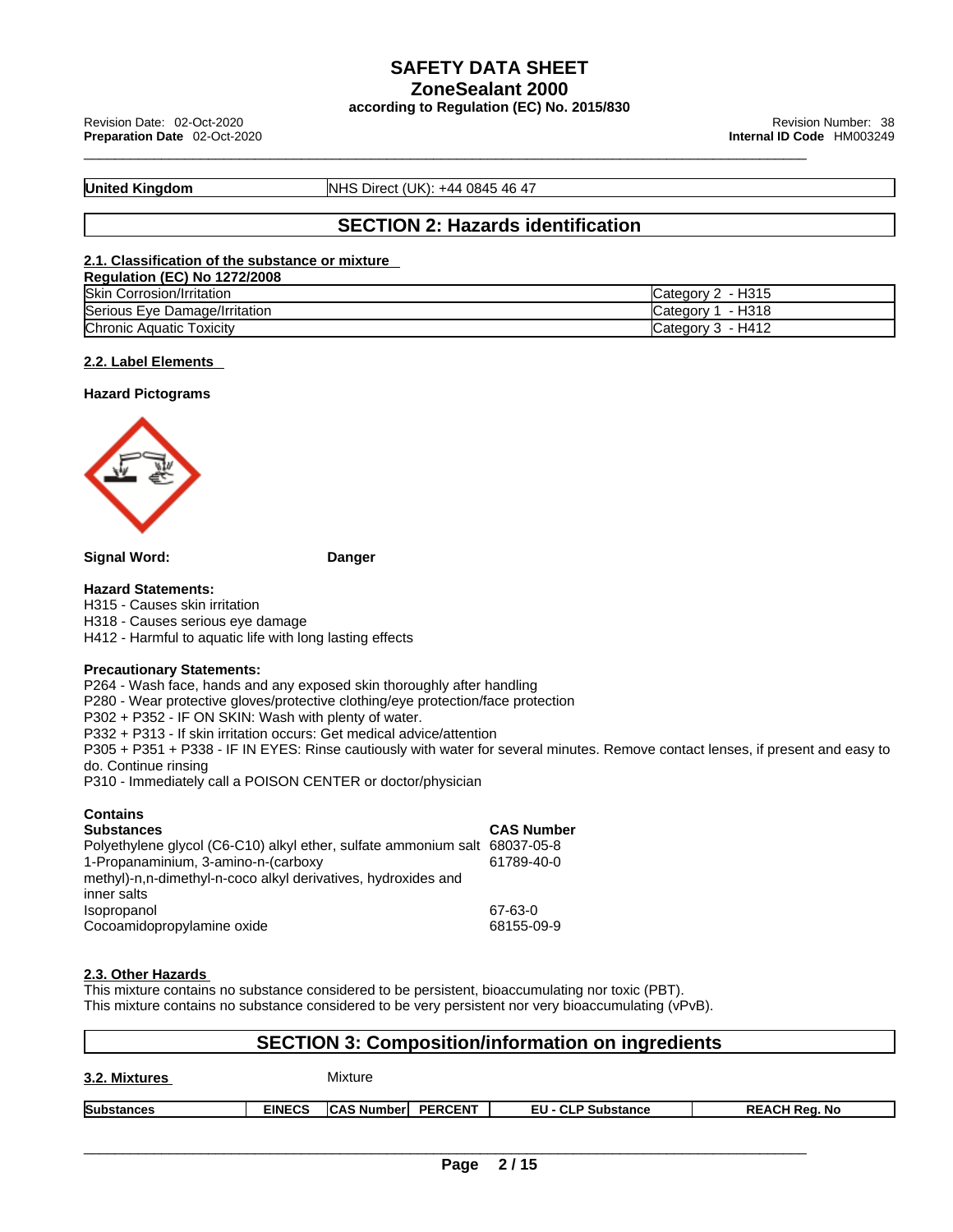\_\_\_\_\_\_\_\_\_\_\_\_\_\_\_\_\_\_\_\_\_\_\_\_\_\_\_\_\_\_\_\_\_\_\_\_\_\_\_\_\_\_\_\_\_\_\_\_\_\_\_\_\_\_\_\_\_\_\_\_\_\_\_\_\_\_\_\_\_\_\_\_\_\_\_\_\_\_\_\_\_\_\_\_\_\_\_\_\_\_\_\_\_ Revision Date: 02-Oct-2020 Revision Number: <sup>38</sup> **Preparation Date** 02-Oct-2020 **Internal ID Code** HM003249

**United Kingdom NHS Direct (UK): +44 0845 46 47** 

#### **SECTION 2: Hazards identification**

#### **2.1. Classification of the substance or mixture**

| <b>Regulation (EC) No 1272/2008</b> |                     |
|-------------------------------------|---------------------|
| <b>Skin Corrosion/Irritation</b>    | Category 2 - H315   |
| Serious Eye Damage/Irritation       | Category 1 - H318   |
| <b>Chronic Aquatic Toxicity</b>     | Category $3 - H412$ |

#### **2.2. Label Elements**

#### **Hazard Pictograms**



**Signal Word: Danger** 

#### **Hazard Statements:**

H315 - Causes skin irritation H318 - Causes serious eye damage H412 - Harmful to aquatic life with long lasting effects

#### **Precautionary Statements:**

P264 - Wash face, hands and any exposed skin thoroughly after handling P280 - Wear protective gloves/protective clothing/eye protection/face protection P302 + P352 - IF ON SKIN: Wash with plenty of water. P332 + P313 - If skin irritation occurs: Get medical advice/attention P305 + P351 + P338 - IF IN EYES: Rinse cautiously with water forseveral minutes. Remove contact lenses, if present and easy to do. Continue rinsing

P310 - Immediately call a POISON CENTER or doctor/physician

#### **Contains**

| <b>Substances</b>                                                          | <b>CAS Number</b> |
|----------------------------------------------------------------------------|-------------------|
| Polyethylene glycol (C6-C10) alkyl ether, sulfate ammonium salt 68037-05-8 |                   |
| 1-Propanaminium, 3-amino-n-(carboxy                                        | 61789-40-0        |
| methyl)-n,n-dimethyl-n-coco alkyl derivatives, hydroxides and              |                   |
| inner salts                                                                |                   |
| Isopropanol                                                                | 67-63-0           |
| Cocoamidopropylamine oxide                                                 | 68155-09-9        |

#### **2.3. Other Hazards**

This mixture contains no substance considered to be persistent, bioaccumulating nor toxic (PBT). This mixture contains no substance considered to be very persistent nor very bioaccumulating (vPvB).

| <b>SECTION 3: Composition/information on ingredients</b> |               |                           |  |                           |                      |
|----------------------------------------------------------|---------------|---------------------------|--|---------------------------|----------------------|
| 3.2. Mixtures                                            |               | Mixture                   |  |                           |                      |
| <b>Substances</b>                                        | <b>EINECS</b> | <b>CAS Number PERCENT</b> |  | <b>EU - CLP Substance</b> | <b>REACH Reg. No</b> |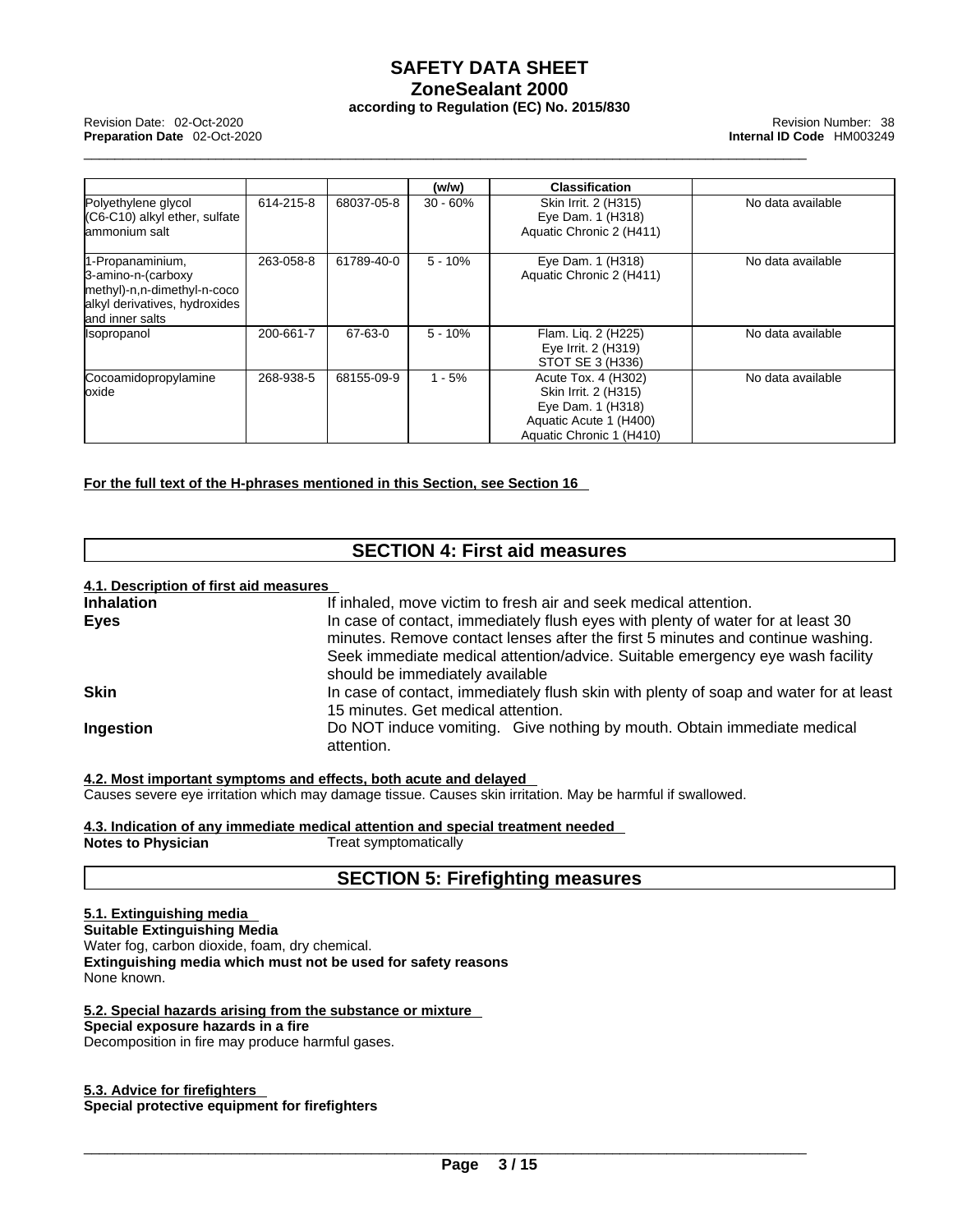\_\_\_\_\_\_\_\_\_\_\_\_\_\_\_\_\_\_\_\_\_\_\_\_\_\_\_\_\_\_\_\_\_\_\_\_\_\_\_\_\_\_\_\_\_\_\_\_\_\_\_\_\_\_\_\_\_\_\_\_\_\_\_\_\_\_\_\_\_\_\_\_\_\_\_\_\_\_\_\_\_\_\_\_\_\_\_\_\_\_\_\_\_ Revision Date: 02-Oct-2020 Revision Number: <sup>38</sup> **Preparation Date** 02-Oct-2020 **Internal ID Code** HM003249

|                                                                                                                            |           |            | (w/w)      | <b>Classification</b>                                                                                                  |                   |
|----------------------------------------------------------------------------------------------------------------------------|-----------|------------|------------|------------------------------------------------------------------------------------------------------------------------|-------------------|
| Polyethylene glycol<br>$(C6-C10)$ alkyl ether, sulfate<br>lammonium salt                                                   | 614-215-8 | 68037-05-8 | $30 - 60%$ | Skin Irrit. 2 (H315)<br>Eye Dam. 1 (H318)<br>Aquatic Chronic 2 (H411)                                                  | No data available |
| 1-Propanaminium,<br>3-amino-n-(carboxy<br>methyl)-n,n-dimethyl-n-coco<br>alkyl derivatives, hydroxides<br>land inner salts | 263-058-8 | 61789-40-0 | $5 - 10%$  | Eye Dam. 1 (H318)<br>Aquatic Chronic 2 (H411)                                                                          | No data available |
| <b>Isopropanol</b>                                                                                                         | 200-661-7 | 67-63-0    | $5 - 10%$  | Flam. Liq. 2 (H225)<br>Eye Irrit. 2 (H319)<br>STOT SE 3 (H336)                                                         | No data available |
| Cocoamidopropylamine<br>loxide                                                                                             | 268-938-5 | 68155-09-9 | $1 - 5%$   | Acute Tox. 4 (H302)<br>Skin Irrit. 2 (H315)<br>Eye Dam. 1 (H318)<br>Aquatic Acute 1 (H400)<br>Aquatic Chronic 1 (H410) | No data available |

**For the full text of the H-phrases mentioned in this Section, see Section 16**

#### **SECTION 4: First aid measures**

#### **4.1. Description of first aid measures**

| If inhaled, move victim to fresh air and seek medical attention.                      |
|---------------------------------------------------------------------------------------|
| In case of contact, immediately flush eyes with plenty of water for at least 30       |
| minutes. Remove contact lenses after the first 5 minutes and continue washing.        |
| Seek immediate medical attention/advice. Suitable emergency eye wash facility         |
| should be immediately available                                                       |
| In case of contact, immediately flush skin with plenty of soap and water for at least |
| 15 minutes. Get medical attention.                                                    |
| Do NOT induce vomiting. Give nothing by mouth. Obtain immediate medical<br>attention. |
|                                                                                       |
|                                                                                       |

**4.2. Most important symptoms and effects, both acute and delayed** Causes severe eye irritation which may damage tissue. Causes skin irritation. May be harmful if swallowed.

**4.3. Indication of any immediate medical attention and special treatment needed Notes to Physician** Treat symptomatically

#### **SECTION 5: Firefighting measures**

#### **5.1. Extinguishing media**

**Suitable Extinguishing Media** Water fog, carbon dioxide, foam, dry chemical. **Extinguishing media which must not be used for safety reasons** None known.

**5.2. Special hazards arising from the substance or mixture Special exposure hazards in a fire**

Decomposition in fire may produce harmful gases.

#### **5.3. Advice for firefighters Special protective equipment for firefighters**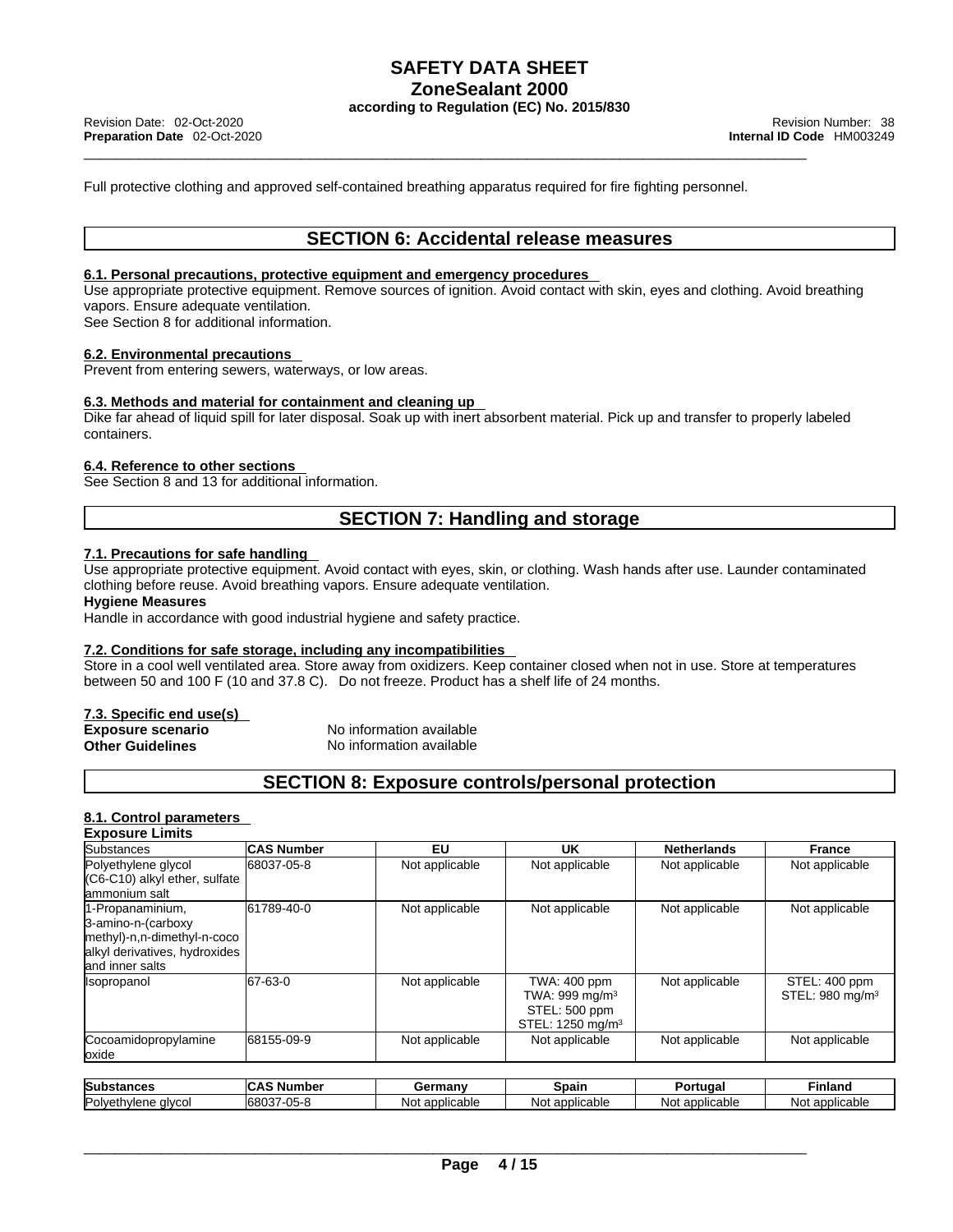Full protective clothing and approved self-contained breathing apparatus required for fire fighting personnel.

#### **SECTION 6: Accidental release measures**

#### **6.1. Personal precautions, protective equipment and emergency procedures**

Use appropriate protective equipment. Remove sources of ignition. Avoid contact with skin, eyes and clothing. Avoid breathing vapors. Ensure adequate ventilation.

See Section 8 for additional information.

#### **6.2. Environmental precautions**

Prevent from entering sewers, waterways, or low areas.

#### **6.3. Methods and material for containment and cleaning up**

Dike far ahead of liquid spill for later disposal. Soak up with inert absorbent material. Pick up and transfer to properly labeled containers.

#### **6.4. Reference to other sections**

See Section 8 and 13 for additional information.

#### **SECTION 7: Handling and storage**

#### **7.1. Precautions for safe handling**

Use appropriate protective equipment. Avoid contact with eyes, skin, or clothing. Wash hands after use. Launder contaminated clothing before reuse. Avoid breathing vapors. Ensure adequate ventilation.

#### **Hygiene Measures**

Handle in accordance with good industrial hygiene and safety practice.

#### **7.2. Conditions for safe storage, including any incompatibilities**

Store in a cool well ventilated area. Store away from oxidizers. Keep container closed when not in use. Store at temperatures between 50 and 100 F (10 and 37.8 C). Do not freeze. Product has a shelf life of 24 months.

#### **7.3. Specific end use(s)**

| <b>Exposure scenario</b> | No information available |
|--------------------------|--------------------------|
| Other Guidelines         | No information available |

#### **SECTION 8: Exposure controls/personal protection**

#### **8.1. Control parameters Exposure Limits**

| Substances                                                                                                                 | <b>CAS Number</b> | EU             | UK                                                                                 | <b>Netherlands</b> | France                                       |
|----------------------------------------------------------------------------------------------------------------------------|-------------------|----------------|------------------------------------------------------------------------------------|--------------------|----------------------------------------------|
| Polyethylene glycol<br>$(C6-C10)$ alkyl ether, sulfate<br>lammonium salt                                                   | 68037-05-8        | Not applicable | Not applicable                                                                     | Not applicable     | Not applicable                               |
| 1-Propanaminium,<br>3-amino-n-(carboxy<br>methyl)-n,n-dimethyl-n-coco<br>alkyl derivatives, hydroxides<br>land inner salts | 61789-40-0        | Not applicable | Not applicable                                                                     | Not applicable     | Not applicable                               |
| <i><b>Isopropanol</b></i>                                                                                                  | 67-63-0           | Not applicable | TWA: 400 ppm<br>TWA: 999 mg/m $3$<br>STEL: 500 ppm<br>STEL: 1250 mg/m <sup>3</sup> | Not applicable     | STEL: 400 ppm<br>STEL: 980 mg/m <sup>3</sup> |
| Cocoamidopropylamine<br>loxide                                                                                             | 68155-09-9        | Not applicable | Not applicable                                                                     | Not applicable     | Not applicable                               |

| Substances                        | ๛<br><b>Number</b><br>IUA. | armany<br>шан                   | spain            | rtuaa            | Finlanc           |
|-----------------------------------|----------------------------|---------------------------------|------------------|------------------|-------------------|
| Polyath<br>alvco<br>.<br>vr<br>vu | $05 - 8$<br>6803<br>. .    | licable<br>$\sim$<br>Not<br>auu | Nο<br>applicable | applicable<br>NΩ | applicable<br>Not |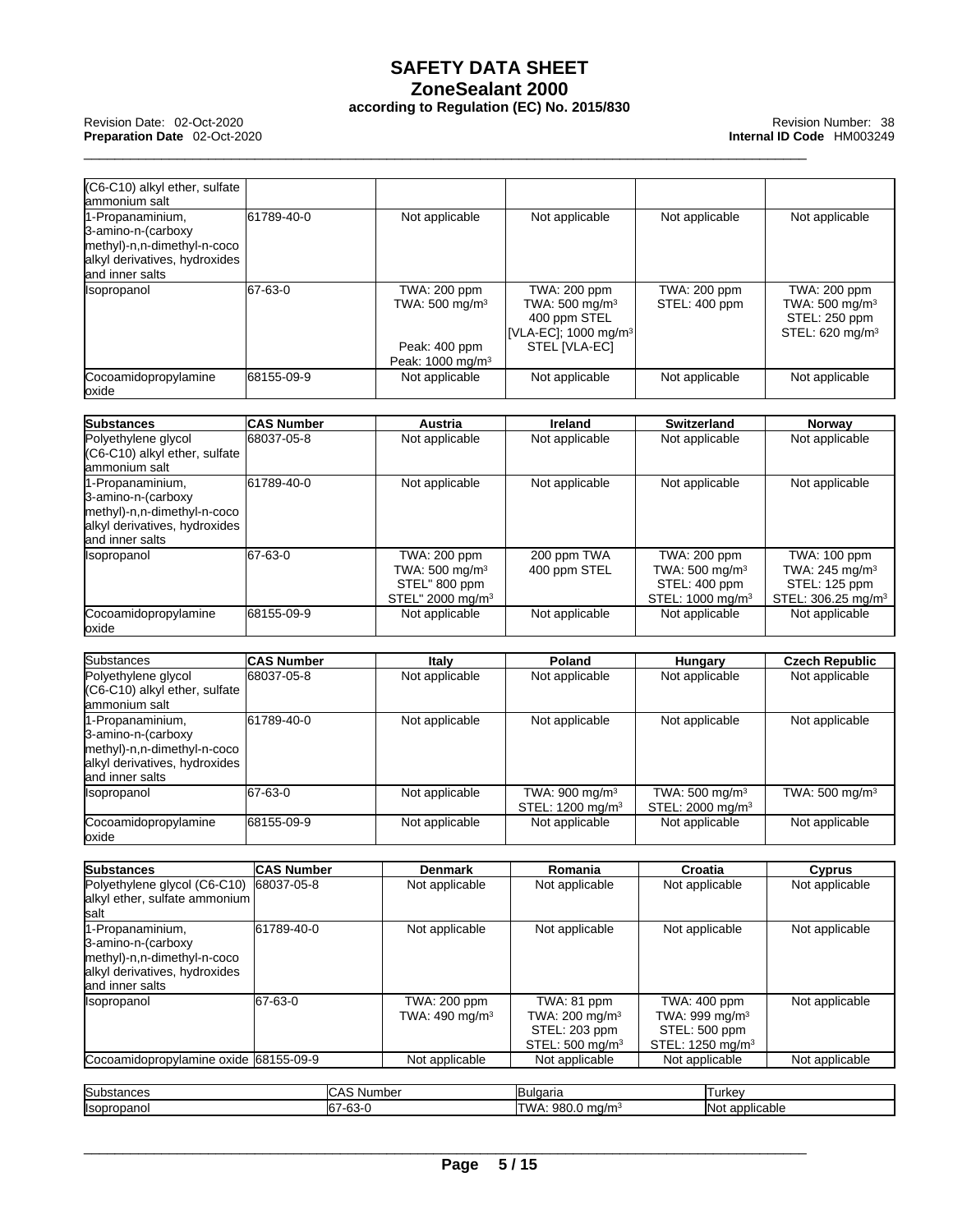### **SAFETY DATA SHEET ZoneSealant 2000**

\_\_\_\_\_\_\_\_\_\_\_\_\_\_\_\_\_\_\_\_\_\_\_\_\_\_\_\_\_\_\_\_\_\_\_\_\_\_\_\_\_\_\_\_\_\_\_\_\_\_\_\_\_\_\_\_\_\_\_\_\_\_\_\_\_\_\_\_\_\_\_\_\_\_\_\_\_\_\_\_\_\_\_\_\_\_\_\_\_\_\_\_\_ Revision Date: 02-Oct-2020 Revision Number: <sup>38</sup> **Preparation Date** 02-Oct-2020 **Internal ID Code** HM003249

| (C6-C10) alkyl ether, sulfate<br>lammonium salt                                                                           |                   |                                                                                             |                                                                                                                 |                                                                                             |                                                                                               |
|---------------------------------------------------------------------------------------------------------------------------|-------------------|---------------------------------------------------------------------------------------------|-----------------------------------------------------------------------------------------------------------------|---------------------------------------------------------------------------------------------|-----------------------------------------------------------------------------------------------|
| 1-Propanaminium,<br>3-amino-n-(carboxy<br>methyl)-n,n-dimethyl-n-coco<br>alkyl derivatives, hydroxides<br>and inner salts | 61789-40-0        | Not applicable                                                                              | Not applicable                                                                                                  | Not applicable                                                                              | Not applicable                                                                                |
| Isopropanol                                                                                                               | 67-63-0           | TWA: 200 ppm<br>TWA: 500 mg/m <sup>3</sup><br>Peak: 400 ppm<br>Peak: 1000 mg/m <sup>3</sup> | TWA: 200 ppm<br>TWA: 500 mg/m <sup>3</sup><br>400 ppm STEL<br>[VLA-EC]; 1000 mg/m <sup>3</sup><br>STEL [VLA-EC] | TWA: 200 ppm<br>STEL: 400 ppm                                                               | TWA: 200 ppm<br>TWA: 500 mg/m <sup>3</sup><br>STEL: 250 ppm<br>STEL: 620 mg/m <sup>3</sup>    |
| Cocoamidopropylamine<br>oxide                                                                                             | 68155-09-9        | Not applicable                                                                              | Not applicable                                                                                                  | Not applicable                                                                              | Not applicable                                                                                |
| <b>Substances</b>                                                                                                         | <b>CAS Number</b> | Austria                                                                                     | <b>Ireland</b>                                                                                                  | <b>Switzerland</b>                                                                          | Norway                                                                                        |
| Polyethylene glycol<br>(C6-C10) alkyl ether, sulfate<br>lammonium salt                                                    | 68037-05-8        | Not applicable                                                                              | Not applicable                                                                                                  | Not applicable                                                                              | Not applicable                                                                                |
| 1-Propanaminium,<br>3-amino-n-(carboxy<br>methyl)-n,n-dimethyl-n-coco<br>alkyl derivatives, hydroxides<br>and inner salts | 61789-40-0        | Not applicable                                                                              | Not applicable                                                                                                  | Not applicable                                                                              | Not applicable                                                                                |
| Isopropanol                                                                                                               | 67-63-0           | TWA: 200 ppm<br>TWA: 500 mg/m <sup>3</sup><br>STEL" 800 ppm<br>STEL" 2000 mg/m <sup>3</sup> | 200 ppm TWA<br>400 ppm STEL                                                                                     | TWA: 200 ppm<br>TWA: 500 mg/m <sup>3</sup><br>STEL: 400 ppm<br>STEL: 1000 mg/m <sup>3</sup> | TWA: 100 ppm<br>TWA: 245 mg/m <sup>3</sup><br>STEL: 125 ppm<br>STEL: 306.25 mg/m <sup>3</sup> |
| Cocoamidopropylamine<br>loxide                                                                                            | 68155-09-9        | Not applicable                                                                              | Not applicable                                                                                                  | Not applicable                                                                              | Not applicable                                                                                |
| <b>Substances</b>                                                                                                         | <b>CAS Number</b> | Italy                                                                                       | Poland                                                                                                          | Hungary                                                                                     | <b>Czech Republic</b>                                                                         |
| Polyethylene glycol<br>(C6-C10) alkyl ether, sulfate                                                                      | 68037-05-8        | Not applicable                                                                              | Not applicable                                                                                                  | Not applicable                                                                              | Not applicable                                                                                |

| $  (C6-C10)$ alkyl ether, sulfate<br>lammonium salt                                                                        |            |                |                                                            |                                                           |                            |
|----------------------------------------------------------------------------------------------------------------------------|------------|----------------|------------------------------------------------------------|-----------------------------------------------------------|----------------------------|
| 1-Propanaminium,<br>3-amino-n-(carboxy<br>methyl)-n,n-dimethyl-n-coco<br>alkyl derivatives, hydroxides<br>land inner salts | 61789-40-0 | Not applicable | Not applicable                                             | Not applicable                                            | Not applicable             |
| <b>Isopropanol</b>                                                                                                         | 67-63-0    | Not applicable | TWA: 900 mg/m <sup>3</sup><br>STEL: 1200 mg/m <sup>3</sup> | TWA: $500 \text{ mg/m}^3$<br>STEL: 2000 mg/m <sup>3</sup> | TWA: 500 mg/m <sup>3</sup> |
| Cocoamidopropylamine<br>loxide                                                                                             | 68155-09-9 | Not applicable | Not applicable                                             | Not applicable                                            | Not applicable             |

| <b>Substances</b>                                                                                                         | <b>CAS Number</b> | <b>Denmark</b>                    | Romania                                                                                  | Croatia                                                                            | <b>Cyprus</b>  |
|---------------------------------------------------------------------------------------------------------------------------|-------------------|-----------------------------------|------------------------------------------------------------------------------------------|------------------------------------------------------------------------------------|----------------|
| Polyethylene glycol (C6-C10)<br>alkyl ether, sulfate ammonium<br>Isalt                                                    | 68037-05-8        | Not applicable                    | Not applicable                                                                           | Not applicable                                                                     | Not applicable |
| 1-Propanaminium,<br>3-amino-n-(carboxy<br>methyl)-n,n-dimethyl-n-coco<br>alkyl derivatives, hydroxides<br>and inner salts | 61789-40-0        | Not applicable                    | Not applicable                                                                           | Not applicable                                                                     | Not applicable |
| <i><b>Isopropanol</b></i>                                                                                                 | 67-63-0           | TWA: 200 ppm<br>TWA: 490 mg/m $3$ | TWA: 81 ppm<br>TWA: $200 \text{ mg/m}^3$<br>STEL: 203 ppm<br>STEL: 500 mg/m <sup>3</sup> | TWA: 400 ppm<br>TWA: 999 mg/m $3$<br>STEL: 500 ppm<br>STEL: 1250 mg/m <sup>3</sup> | Not applicable |
| Cocoamidopropylamine oxide 68155-09-9                                                                                     |                   | Not applicable                    | Not applicable                                                                           | Not applicable                                                                     | Not applicable |

| <b>Substances</b>         | $\sim$<br>∴Numb⊾.<br>שו                         | 10000<br><b>UJULUATIO</b> | l urkev                        |
|---------------------------|-------------------------------------------------|---------------------------|--------------------------------|
| <b>Ilsoprc</b><br>ropanol | $\sim$<br>$\sim$<br><br>$ -$<br>--<br>ю.<br>ັບບ | 980<br>ma/m               | <br><b>IN</b> ot<br>applicable |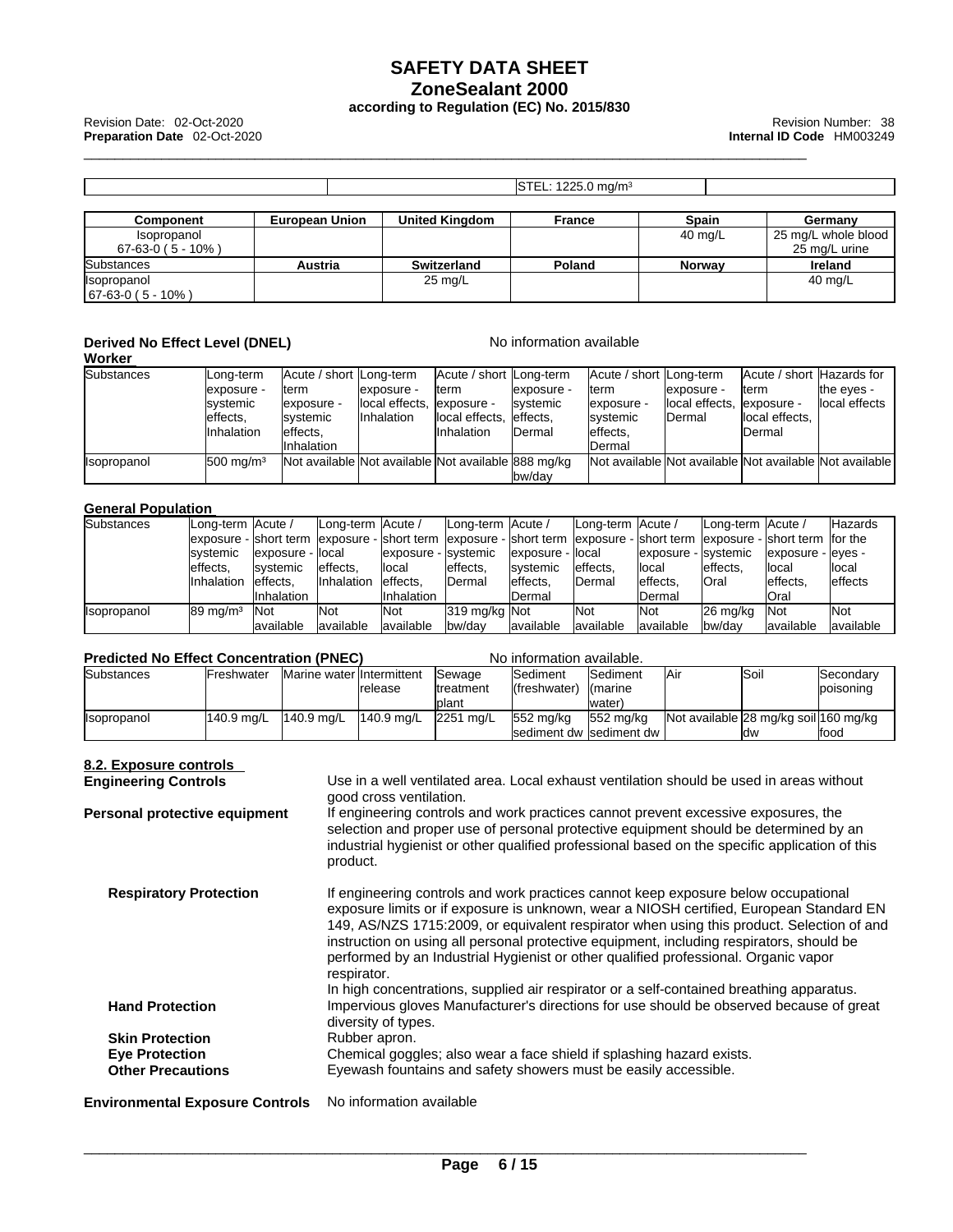\_\_\_\_\_\_\_\_\_\_\_\_\_\_\_\_\_\_\_\_\_\_\_\_\_\_\_\_\_\_\_\_\_\_\_\_\_\_\_\_\_\_\_\_\_\_\_\_\_\_\_\_\_\_\_\_\_\_\_\_\_\_\_\_\_\_\_\_\_\_\_\_\_\_\_\_\_\_\_\_\_\_\_\_\_\_\_\_\_\_\_\_\_ Revision Date: 02-Oct-2020 Revision Number: <sup>38</sup> **Preparation Date** 02-Oct-2020 **Internal ID Code** HM003249

|                                  |                       |                       | $\textsf{ISTEL: } 1225.0 \text{ mg/m}^3$ |               |                                      |
|----------------------------------|-----------------------|-----------------------|------------------------------------------|---------------|--------------------------------------|
| Component                        | <b>European Union</b> | <b>United Kingdom</b> | France                                   | <b>Spain</b>  | Germany                              |
| Isopropanol<br>$67-63-0(5-10%)$  |                       |                       |                                          | 40 mg/L       | 25 mg/L whole blood<br>25 mg/L urine |
| Substances                       | <b>Austria</b>        | <b>Switzerland</b>    | Poland                                   | <b>Norway</b> | Ireland                              |
| Isopropanol<br>$ 67-63-0(5-10%)$ |                       | 25 mg/L               |                                          |               | 40 mg/L                              |

#### **Derived No Effect Level (DNEL)** No information available **Worker**

| ,,,,,,,,            |                       |                                                     |                            |                          |                   |                                                         |                            |                           |                |
|---------------------|-----------------------|-----------------------------------------------------|----------------------------|--------------------------|-------------------|---------------------------------------------------------|----------------------------|---------------------------|----------------|
| <b>Substances</b>   | <b>ILong-term</b>     | Acute / short Long-term                             |                            | Acute / short  Long-term |                   | Acute / short   Long-term                               |                            | Acute / short Hazards for |                |
|                     | exposure -            | lterm                                               | exposure -                 | lterm                    | lexposure -       | lterm                                                   | exposure -                 | lterm                     | the eves -     |
|                     | <b>Isystemic</b>      | lexposure -                                         | local effects, lexposure - |                          | <b>I</b> svstemic | lexposure -                                             | local effects, lexposure - |                           | llocal effects |
|                     | leffects.             | <b>Isystemic</b>                                    | <b>Inhalation</b>          | local effects, leffects, |                   | <b>Isystemic</b>                                        | <b>IDermal</b>             | local effects.            |                |
|                     | <b>Inhalation</b>     | leffects.                                           |                            | <b>Inhalation</b>        | <b>IDermal</b>    | leffects.                                               |                            | lDermal                   |                |
|                     |                       | <b>Inhalation</b>                                   |                            |                          |                   | <b>IDermal</b>                                          |                            |                           |                |
| <b>I</b> sopropanol | $1500 \text{ ma/m}^3$ | Not available Not available Not available 888 mg/kg |                            |                          |                   | Not available Not available Not available Not available |                            |                           |                |
|                     |                       |                                                     |                            |                          | lbw/dav           |                                                         |                            |                           |                |

#### **General Population**

| <b>Substances</b>  | Long-term Acute /    |                    | Long-term Acute / |                       | Long-term Acute /                                                                                                          |                    | Long-term  Acute / |                       | Long-term Acute / |                     | <b>IHazards</b> |
|--------------------|----------------------|--------------------|-------------------|-----------------------|----------------------------------------------------------------------------------------------------------------------------|--------------------|--------------------|-----------------------|-------------------|---------------------|-----------------|
|                    |                      |                    |                   |                       | exposure - short term lexposure - short term lexposure - short term lexposure - short term lexposure - short term lfor the |                    |                    |                       |                   |                     |                 |
|                    | <b>Isystemic</b>     | lexposure - llocal |                   | lexposure - Isvstemic |                                                                                                                            | lexposure - llocal |                    | lexposure - Isvstemic |                   | lexposure - leves - |                 |
|                    | leffects.            | <b>Isvstemic</b>   | leffects.         | llocal                | effects.                                                                                                                   | <b>Isvstemic</b>   | leffects.          | llocal                | leffects.         | llocal              | llocal          |
|                    | <b>Inhalation</b>    | leffects.          | <b>Inhalation</b> | effects.              | Dermal                                                                                                                     | leffects.          | Dermal             | leffects.             | <b>Oral</b>       | leffects.           | <b>leffects</b> |
|                    |                      | Ilnhalation        |                   | <b>Inhalation</b>     |                                                                                                                            | Dermal             |                    | <b>I</b> Dermal       |                   | <b>Oral</b>         |                 |
| <b>Isopropanol</b> | $189 \text{ ma/m}^3$ | <b>INot</b>        | <b>Not</b>        | <b>Not</b>            | 319 mg/kg Not                                                                                                              |                    | <b>Not</b>         | <b>INot</b>           | 26 ma/ka          | <b>Not</b>          | <b>Not</b>      |
|                    |                      | lavailable         | lavailable        | lavailable            | bw/day                                                                                                                     | lavailable         | lavailable         | lavailable            | bw/dav            | lavailable          | available       |

#### **Predicted No Fffect Concentration (PNFC) No information available.**

| ו סשוטנטט וזט בווטטנ טטווטטוונומנוטוו וו וזבטו |                    |                           |            |                   |                   |                           |      |                                        |                    |
|------------------------------------------------|--------------------|---------------------------|------------|-------------------|-------------------|---------------------------|------|----------------------------------------|--------------------|
| <b>Substances</b>                              | <b>IFreshwater</b> | Marine water Intermittent |            | <b>ISewage</b>    | <b>I</b> Sediment | <b>ISediment</b>          | IAir | ISoil                                  | Secondarv          |
|                                                |                    |                           | release    | <b>Itreatment</b> | (freshwater)      | <b>I</b> (marine          |      |                                        | <b>I</b> poisoning |
|                                                |                    |                           |            | lplant            |                   | lwater)                   |      |                                        |                    |
| <i><b>Ilsopropanol</b></i>                     | 1140.9 ma/L        | 1140.9 ma/L               | 140.9 ma/L | 2251 ma/L         | 1552 ma/ka        | 1552 ma/ka                |      | lNot available 28 mg/kg soil1160 mg/kg |                    |
|                                                |                    |                           |            |                   |                   | Isediment dw Isediment dw |      | ldw                                    | lfood              |

#### **8.2. Exposure controls Engineering Controls** Use in a well ventilated area. Local exhaust ventilation should be used in areas without good cross ventilation. **Personal protective equipment** If engineering controls and work practices cannot prevent excessive exposures, the selection and proper use of personal protective equipment should be determined by an industrial hygienist or other qualified professional based on the specific application of this product. **Respiratory Protection** If engineering controls and work practices cannot keep exposure below occupational exposure limits or if exposure is unknown, wear a NIOSH certified, European Standard EN 149, AS/NZS 1715:2009, or equivalent respirator when using this product. Selection of and instruction on using all personal protective equipment, including respirators, should be performed by an Industrial Hygienist or other qualified professional. Organic vapor respirator. In high concentrations, supplied air respirator or a self-contained breathing apparatus. **Hand Protection** Impervious gloves Manufacturer's directions for use should be observed because of great diversity of types. **Skin Protection** Rubber apron. **Eye Protection** Chemical goggles; also wear a face shield if splashing hazard exists. **Other Precautions** Eyewash fountains and safety showers must be easily accessible. **Environmental Exposure Controls** No information available \_\_\_\_\_\_\_\_\_\_\_\_\_\_\_\_\_\_\_\_\_\_\_\_\_\_\_\_\_\_\_\_\_\_\_\_\_\_\_\_\_\_\_\_\_\_\_\_\_\_\_\_\_\_\_\_\_\_\_\_\_\_\_\_\_\_\_\_\_\_\_\_\_\_\_\_\_\_\_\_\_\_\_\_\_\_\_\_\_\_\_\_\_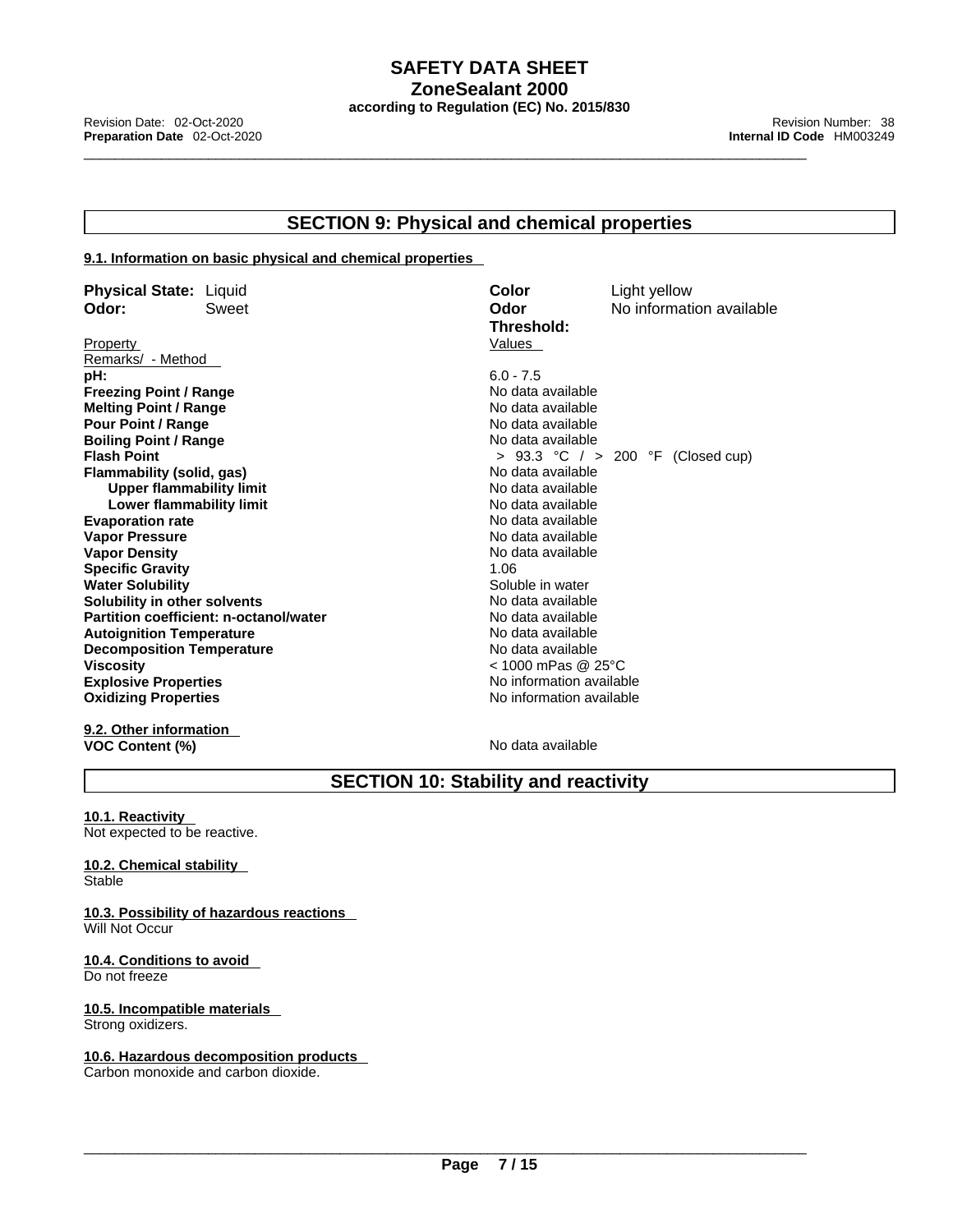#### **SECTION 9: Physical and chemical properties**

#### **9.1. Information on basic physical and chemical properties**

| <b>Physical State: Liquid</b>    |                                        | Color                    | Light yellow                        |
|----------------------------------|----------------------------------------|--------------------------|-------------------------------------|
| Odor:                            | Sweet                                  | Odor                     | No information available            |
|                                  |                                        | Threshold:               |                                     |
| Property                         |                                        | Values                   |                                     |
| Remarks/ - Method                |                                        |                          |                                     |
| pH:                              |                                        | $6.0 - 7.5$              |                                     |
| <b>Freezing Point / Range</b>    |                                        | No data available        |                                     |
| <b>Melting Point / Range</b>     |                                        | No data available        |                                     |
| <b>Pour Point / Range</b>        |                                        | No data available        |                                     |
| <b>Boiling Point / Range</b>     |                                        | No data available        |                                     |
| <b>Flash Point</b>               |                                        |                          | > 93.3 °C $/$ > 200 °F (Closed cup) |
| Flammability (solid, gas)        |                                        | No data available        |                                     |
| Upper flammability limit         |                                        | No data available        |                                     |
| Lower flammability limit         |                                        | No data available        |                                     |
| <b>Evaporation rate</b>          |                                        | No data available        |                                     |
| <b>Vapor Pressure</b>            |                                        | No data available        |                                     |
| <b>Vapor Density</b>             |                                        | No data available        |                                     |
| <b>Specific Gravity</b>          |                                        | 1.06                     |                                     |
| <b>Water Solubility</b>          |                                        | Soluble in water         |                                     |
| Solubility in other solvents     |                                        | No data available        |                                     |
|                                  | Partition coefficient: n-octanol/water | No data available        |                                     |
| <b>Autoignition Temperature</b>  |                                        | No data available        |                                     |
| <b>Decomposition Temperature</b> |                                        | No data available        |                                     |
| <b>Viscosity</b>                 |                                        | < 1000 mPas @ 25°C       |                                     |
| <b>Explosive Properties</b>      |                                        | No information available |                                     |
| <b>Oxidizing Properties</b>      |                                        | No information available |                                     |
|                                  |                                        |                          |                                     |

**9.2. Other information VOC Content (%)** No data available

### **SECTION 10: Stability and reactivity**

**10.1. Reactivity**  Not expected to be reactive.

**10.2. Chemical stability Stable** 

**10.3. Possibility of hazardous reactions** Will Not Occur

**10.4. Conditions to avoid**  Do not freeze

**10.5. Incompatible materials** Strong oxidizers.

**10.6. Hazardous decomposition products**  Carbon monoxide and carbon dioxide.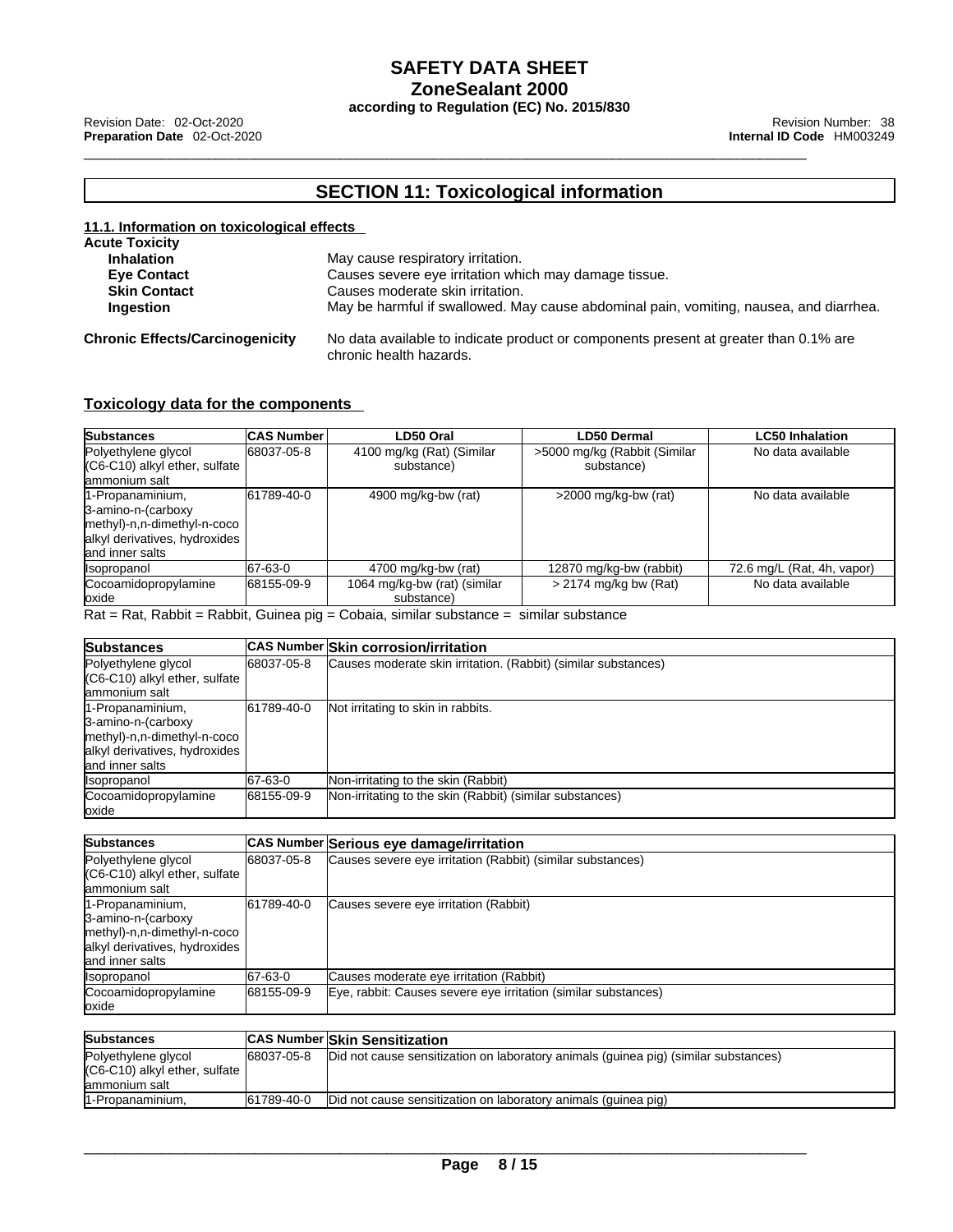\_\_\_\_\_\_\_\_\_\_\_\_\_\_\_\_\_\_\_\_\_\_\_\_\_\_\_\_\_\_\_\_\_\_\_\_\_\_\_\_\_\_\_\_\_\_\_\_\_\_\_\_\_\_\_\_\_\_\_\_\_\_\_\_\_\_\_\_\_\_\_\_\_\_\_\_\_\_\_\_\_\_\_\_\_\_\_\_\_\_\_\_\_ Revision Date: 02-Oct-2020 Revision Number: <sup>38</sup> **Preparation Date** 02-Oct-2020 **Internal ID Code** HM003249

### **SECTION 11: Toxicological information**

| 11.1. Information on toxicological effects |                                                                                                                 |  |  |  |  |  |  |
|--------------------------------------------|-----------------------------------------------------------------------------------------------------------------|--|--|--|--|--|--|
| <b>Acute Toxicity</b>                      |                                                                                                                 |  |  |  |  |  |  |
| <b>Inhalation</b>                          | May cause respiratory irritation.                                                                               |  |  |  |  |  |  |
| <b>Eye Contact</b>                         | Causes severe eye irritation which may damage tissue.                                                           |  |  |  |  |  |  |
| <b>Skin Contact</b>                        | Causes moderate skin irritation.                                                                                |  |  |  |  |  |  |
| Ingestion                                  | May be harmful if swallowed. May cause abdominal pain, vomiting, nausea, and diarrhea.                          |  |  |  |  |  |  |
| <b>Chronic Effects/Carcinogenicity</b>     | No data available to indicate product or components present at greater than 0.1% are<br>chronic health hazards. |  |  |  |  |  |  |

#### **Toxicology data for the components**

| <b>Substances</b>                                                                                                          | <b>CAS Number</b> | LD50 Oral                                  | <b>LD50 Dermal</b>                          | <b>LC50 Inhalation</b>     |
|----------------------------------------------------------------------------------------------------------------------------|-------------------|--------------------------------------------|---------------------------------------------|----------------------------|
| Polyethylene glycol<br>$(C6-C10)$ alkyl ether, sulfate<br>lammonium salt                                                   | 68037-05-8        | 4100 mg/kg (Rat) (Similar<br>substance)    | >5000 mg/kg (Rabbit (Similar)<br>substance) | No data available          |
| 1-Propanaminium,<br>3-amino-n-(carboxy<br>methyl)-n,n-dimethyl-n-coco<br>alkyl derivatives, hydroxides<br>land inner salts | 61789-40-0        | 4900 mg/kg-bw (rat)                        | $>2000$ mg/kg-bw (rat)                      | No data available          |
| <i><b>Isopropanol</b></i>                                                                                                  | 67-63-0           | 4700 mg/kg-bw (rat)                        | 12870 mg/kg-bw (rabbit)                     | 72.6 mg/L (Rat, 4h, vapor) |
| Cocoamidopropylamine<br>loxide                                                                                             | 68155-09-9        | 1064 mg/kg-bw (rat) (similar<br>substance) | $>$ 2174 mg/kg bw (Rat)                     | No data available          |

Rat = Rat, Rabbit = Rabbit, Guinea pig = Cobaia, similar substance = similarsubstance

| <b>Substances</b>                                                                                                          |            | <b>CAS Number Skin corrosion/irritation</b>                    |
|----------------------------------------------------------------------------------------------------------------------------|------------|----------------------------------------------------------------|
| Polyethylene glycol<br>$(C6-C10)$ alkyl ether, sulfate<br>lammonium salt                                                   | 68037-05-8 | Causes moderate skin irritation. (Rabbit) (similar substances) |
| 1-Propanaminium,<br>3-amino-n-(carboxy<br>methyl)-n,n-dimethyl-n-coco<br>alkyl derivatives, hydroxides<br>land inner salts | 61789-40-0 | Not irritating to skin in rabbits.                             |
| <b>Isopropanol</b>                                                                                                         | 67-63-0    | Non-irritating to the skin (Rabbit)                            |
| Cocoamidopropylamine<br>loxide                                                                                             | 68155-09-9 | Non-irritating to the skin (Rabbit) (similar substances)       |

| <b>Substances</b>                                                                                                          |            | CAS Number Serious eye damage/irritation                       |
|----------------------------------------------------------------------------------------------------------------------------|------------|----------------------------------------------------------------|
| Polyethylene glycol<br>$(C6-C10)$ alkyl ether, sulfate<br>ammonium salt                                                    | 68037-05-8 | Causes severe eye irritation (Rabbit) (similar substances)     |
| 1-Propanaminium,<br>3-amino-n-(carboxy<br>methyl)-n,n-dimethyl-n-coco<br>alkyl derivatives, hydroxides<br>land inner salts | 61789-40-0 | Causes severe eye irritation (Rabbit)                          |
| <i><b>Isopropanol</b></i>                                                                                                  | 67-63-0    | Causes moderate eye irritation (Rabbit)                        |
| Cocoamidopropylamine<br>loxide                                                                                             | 68155-09-9 | Eye, rabbit: Causes severe eye irritation (similar substances) |

| <b>Substances</b>               |            | <b>CAS Number Skin Sensitization</b>                                                |
|---------------------------------|------------|-------------------------------------------------------------------------------------|
| Polyethylene glycol             | 68037-05-8 | Did not cause sensitization on laboratory animals (quinea pig) (similar substances) |
| $(C6-C10)$ alkyl ether, sulfate |            |                                                                                     |
| lammonium salt                  |            |                                                                                     |
| 1-Propanaminium,                | 61789-40-0 | Did not cause sensitization on laboratory animals (quinea pig)                      |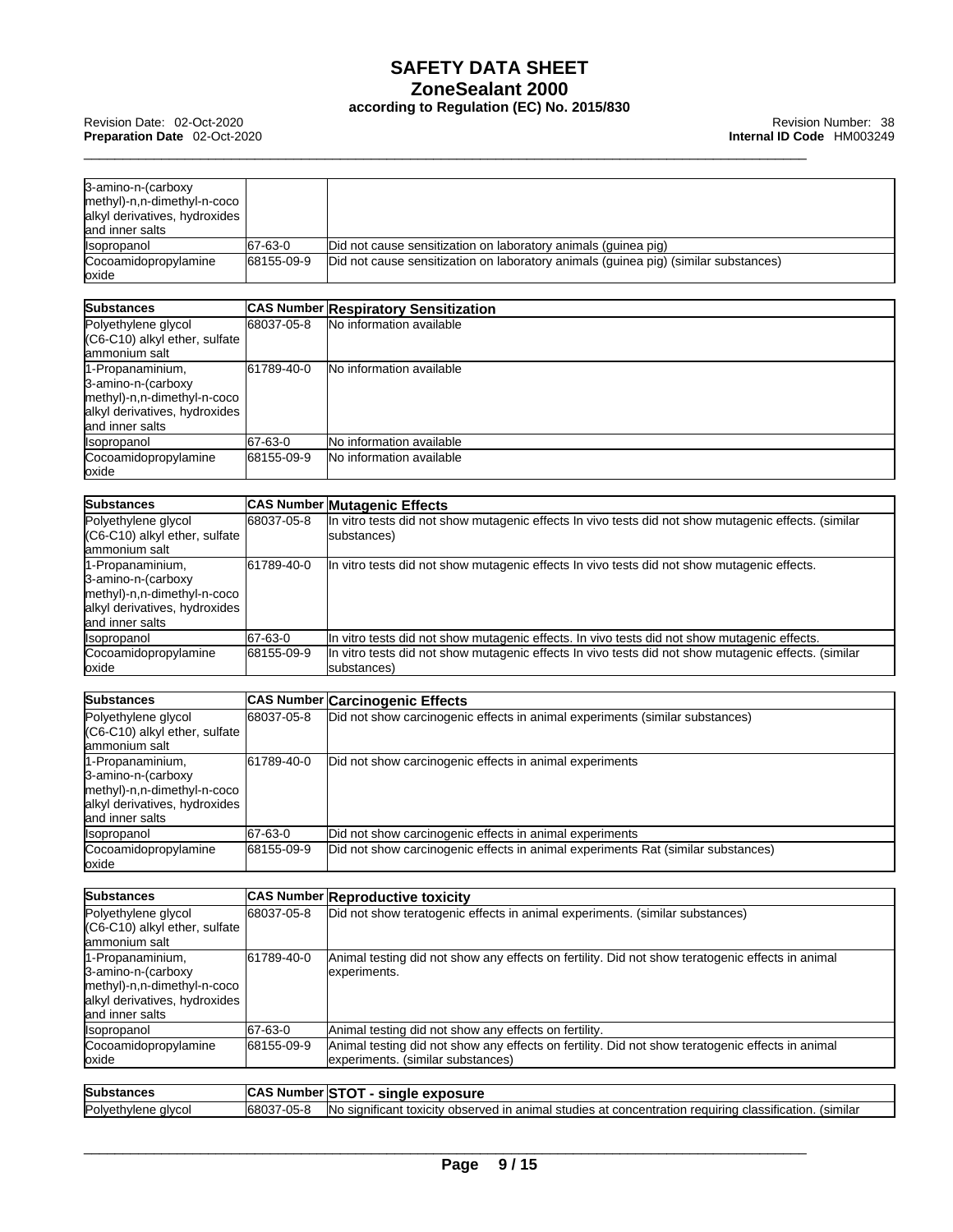| 3-amino-n-(carboxy<br>methyl)-n,n-dimethyl-n-coco<br>alkyl derivatives, hydroxides<br>land inner salts |            |                                                                                     |
|--------------------------------------------------------------------------------------------------------|------------|-------------------------------------------------------------------------------------|
| <i><b>Isopropanol</b></i>                                                                              | 67-63-0    | Did not cause sensitization on laboratory animals (quinea pig)                      |
| Cocoamidopropylamine                                                                                   | 68155-09-9 | Did not cause sensitization on laboratory animals (quinea pig) (similar substances) |
| loxide                                                                                                 |            |                                                                                     |

| <b>Substances</b>                                                                                                         |            | <b>CAS Number Respiratory Sensitization</b> |
|---------------------------------------------------------------------------------------------------------------------------|------------|---------------------------------------------|
| Polyethylene glycol<br>(C6-C10) alkyl ether, sulfate<br>lammonium salt                                                    | 68037-05-8 | No information available                    |
| 1-Propanaminium,<br>3-amino-n-(carboxy<br>methyl)-n,n-dimethyl-n-coco<br>alkyl derivatives, hydroxides<br>and inner salts | 61789-40-0 | <b>No information available</b>             |
| <b>Isopropanol</b>                                                                                                        | 67-63-0    | No information available                    |
| Cocoamidopropylamine<br>oxide                                                                                             | 68155-09-9 | <b>No information available</b>             |

| <b>Substances</b>                                                                                                          |            | <b>CAS Number Mutagenic Effects</b>                                                                                 |
|----------------------------------------------------------------------------------------------------------------------------|------------|---------------------------------------------------------------------------------------------------------------------|
| Polyethylene glycol<br>$(C6-C10)$ alkyl ether, sulfate<br>lammonium salt                                                   | 68037-05-8 | In vitro tests did not show mutagenic effects In vivo tests did not show mutagenic effects. (similar<br>substances) |
| 1-Propanaminium,<br>3-amino-n-(carboxy<br>methyl)-n,n-dimethyl-n-coco<br>alkyl derivatives, hydroxides<br>land inner salts | 61789-40-0 | In vitro tests did not show mutagenic effects In vivo tests did not show mutagenic effects.                         |
| <b>Isopropanol</b>                                                                                                         | 67-63-0    | In vitro tests did not show mutagenic effects. In vivo tests did not show mutagenic effects.                        |
| Cocoamidopropylamine<br>loxide                                                                                             | 68155-09-9 | In vitro tests did not show mutagenic effects In vivo tests did not show mutagenic effects. (similar<br>substances) |

| <b>Substances</b>                                                                                                         |            | <b>CAS Number Carcinogenic Effects</b>                                           |
|---------------------------------------------------------------------------------------------------------------------------|------------|----------------------------------------------------------------------------------|
| Polyethylene glycol<br>(C6-C10) alkyl ether, sulfate<br>ammonium salt                                                     | 68037-05-8 | Did not show carcinogenic effects in animal experiments (similar substances)     |
| 1-Propanaminium,<br>3-amino-n-(carboxy<br>methyl)-n,n-dimethyl-n-coco<br>alkyl derivatives, hydroxides<br>and inner salts | 61789-40-0 | Did not show carcinogenic effects in animal experiments                          |
| <i><b>Isopropanol</b></i>                                                                                                 | 67-63-0    | Did not show carcinogenic effects in animal experiments                          |
| Cocoamidopropylamine<br>loxide                                                                                            | 68155-09-9 | Did not show carcinogenic effects in animal experiments Rat (similar substances) |

| <b>Substances</b>                                                                                                         |            | <b>CAS Number Reproductive toxicity</b>                                                                                               |
|---------------------------------------------------------------------------------------------------------------------------|------------|---------------------------------------------------------------------------------------------------------------------------------------|
| Polyethylene glycol<br>(C6-C10) alkyl ether, sulfate<br>lammonium salt                                                    | 68037-05-8 | Did not show teratogenic effects in animal experiments. (similar substances)                                                          |
| 1-Propanaminium,<br>3-amino-n-(carboxy<br>methyl)-n,n-dimethyl-n-coco<br>alkyl derivatives, hydroxides<br>and inner salts | 61789-40-0 | Animal testing did not show any effects on fertility. Did not show teratogenic effects in animal<br>experiments.                      |
| <i><b>Isopropanol</b></i>                                                                                                 | 67-63-0    | Animal testing did not show any effects on fertility.                                                                                 |
| Cocoamidopropylamine<br>loxide                                                                                            | 68155-09-9 | Animal testing did not show any effects on fertility. Did not show teratogenic effects in animal<br>experiments. (similar substances) |
| <b>Substances</b>                                                                                                         |            | CAS Number STOT - single exposure                                                                                                     |
| Polyethylene glycol                                                                                                       | 68037-05-8 | No significant toxicity observed in animal studies at concentration requiring classification. (similar                                |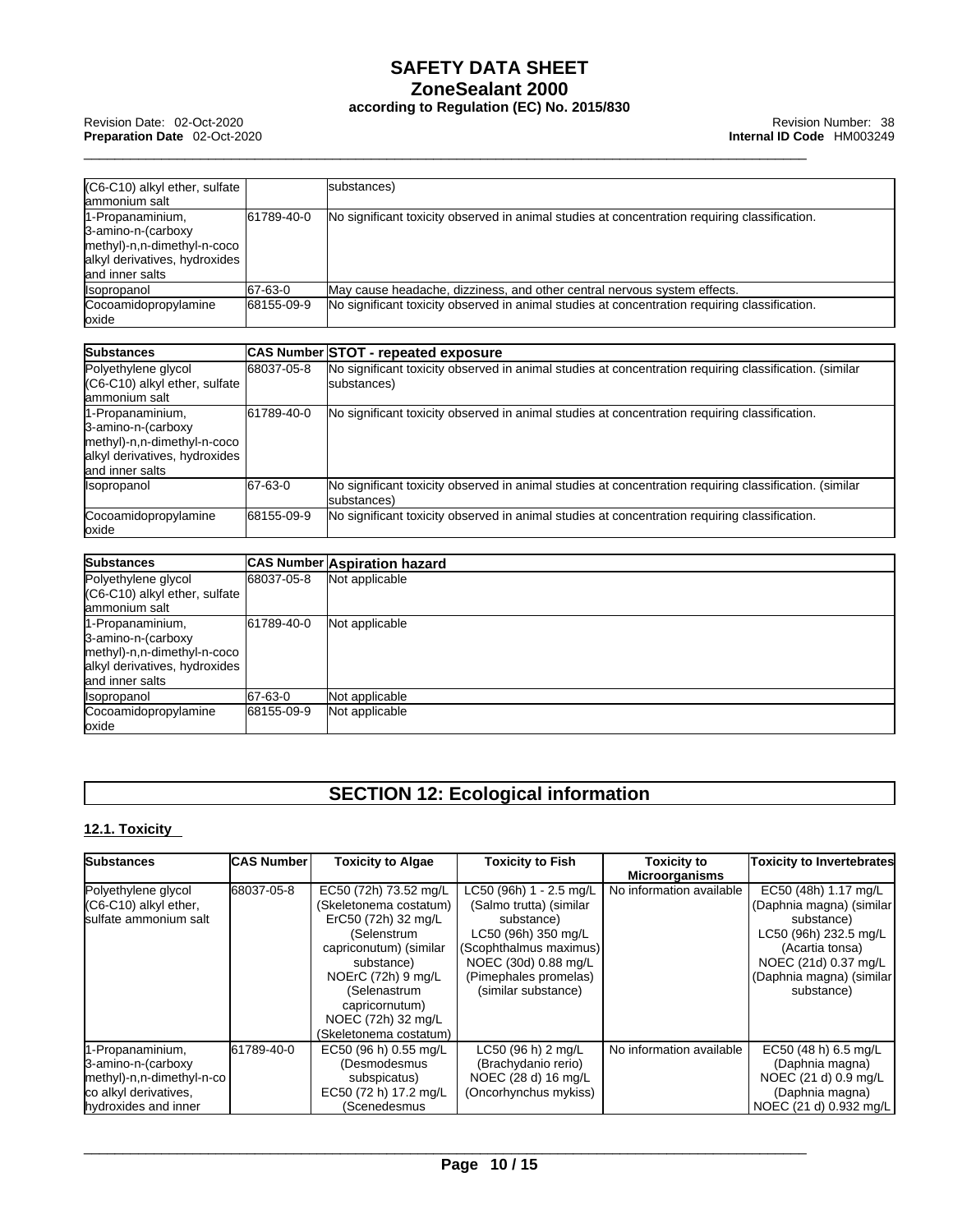| (C6-C10) alkyl ether, sulfate                                                                                              |            | substances)                                                                                                           |
|----------------------------------------------------------------------------------------------------------------------------|------------|-----------------------------------------------------------------------------------------------------------------------|
| lammonium salt                                                                                                             |            |                                                                                                                       |
| 1-Propanaminium,<br>3-amino-n-(carboxy<br>methyl)-n,n-dimethyl-n-coco<br>alkyl derivatives, hydroxides<br>land inner salts | 61789-40-0 | No significant toxicity observed in animal studies at concentration requiring classification.                         |
| Isopropanol                                                                                                                | 67-63-0    | May cause headache, dizziness, and other central nervous system effects.                                              |
| Cocoamidopropylamine<br>oxide                                                                                              | 68155-09-9 | No significant toxicity observed in animal studies at concentration requiring classification.                         |
|                                                                                                                            |            |                                                                                                                       |
| Substances                                                                                                                 |            | CAS Number STOT - repeated exposure                                                                                   |
| Polyethylene glycol<br>(C6-C10) alkyl ether, sulfate<br>lammonium salt                                                     | 68037-05-8 | No significant toxicity observed in animal studies at concentration requiring classification. (similar<br>substances) |
| 1-Propanaminium,<br>3-amino-n-(carboxy<br>methyl)-n,n-dimethyl-n-coco<br>alkyl derivatives, hydroxides<br>land inner salts | 61789-40-0 | No significant toxicity observed in animal studies at concentration requiring classification.                         |
| Isopropanol                                                                                                                | 67-63-0    | No significant toxicity observed in animal studies at concentration requiring classification. (similar<br>substances) |
| Cocoamidopropylamine<br>loxide                                                                                             | 68155-09-9 | No significant toxicity observed in animal studies at concentration requiring classification.                         |
| Substances                                                                                                                 |            | <b>CAS Number Aspiration hazard</b>                                                                                   |
| Polyethylene glycol<br>(C6-C10) alkyl ether, sulfate<br>lammonium salt                                                     | 68037-05-8 | Not applicable                                                                                                        |
| 1-Propanaminium,<br>3-amino-n-(carboxy                                                                                     | 61789-40-0 | Not applicable                                                                                                        |

| 161789-40-0                   | INot applicable |
|-------------------------------|-----------------|
|                               |                 |
| methyl)-n,n-dimethyl-n-coco   |                 |
| alkyl derivatives, hydroxides |                 |
|                               |                 |
| 67-63-0                       | Not applicable  |
| 68155-09-9                    | Not applicable  |
|                               |                 |
|                               |                 |

### **SECTION 12: Ecological information**

#### **12.1. Toxicity**

| <b>Substances</b>                                                                                                    | <b>CAS Number</b> | <b>Toxicity to Algae</b>                                                                                                                                                                                                              | <b>Toxicity to Fish</b>                                                                                                                                                                   | <b>Toxicity to</b>       | <b>Toxicity to Invertebrates</b>                                                                                                                                              |
|----------------------------------------------------------------------------------------------------------------------|-------------------|---------------------------------------------------------------------------------------------------------------------------------------------------------------------------------------------------------------------------------------|-------------------------------------------------------------------------------------------------------------------------------------------------------------------------------------------|--------------------------|-------------------------------------------------------------------------------------------------------------------------------------------------------------------------------|
|                                                                                                                      |                   |                                                                                                                                                                                                                                       |                                                                                                                                                                                           | <b>Microorganisms</b>    |                                                                                                                                                                               |
| Polyethylene glycol<br>$(C6-C10)$ alkyl ether,<br>sulfate ammonium salt                                              | 68037-05-8        | EC50 (72h) 73.52 mg/L<br>(Skeletonema costatum)<br>ErC50 (72h) 32 mg/L<br>(Selenstrum<br>capriconutum) (similar<br>substance)<br>NOErC (72h) 9 mg/L<br>(Selenastrum<br>capricornutum)<br>NOEC (72h) 32 mg/L<br>(Skeletonema costatum) | LC50 (96h) 1 - 2.5 mg/L<br>(Salmo trutta) (similar<br>substance)<br>LC50 (96h) 350 mg/L<br>(Scophthalmus maximus)<br>NOEC (30d) 0.88 mg/L<br>(Pimephales promelas)<br>(similar substance) | No information available | EC50 (48h) 1.17 mg/L<br>(Daphnia magna) (similar<br>substance)<br>LC50 (96h) 232.5 mg/L<br>(Acartia tonsa)<br>NOEC (21d) 0.37 mg/L<br>(Daphnia magna) (similar)<br>substance) |
| 1-Propanaminium,<br>3-amino-n-(carboxy<br>methyl)-n,n-dimethyl-n-co<br>co alkyl derivatives,<br>hydroxides and inner | 61789-40-0        | EC50 (96 h) 0.55 mg/L<br>(Desmodesmus<br>subspicatus)<br>EC50 (72 h) 17.2 mg/L<br>(Scenedesmus                                                                                                                                        | LC50 (96 h) 2 mg/L<br>(Brachydanio rerio)<br>NOEC (28 d) 16 mg/L<br>(Oncorhynchus mykiss)                                                                                                 | No information available | EC50 (48 h) 6.5 mg/L<br>(Daphnia magna)<br>NOEC (21 d) 0.9 mg/L<br>(Daphnia magna)<br>NOEC (21 d) 0.932 mg/L                                                                  |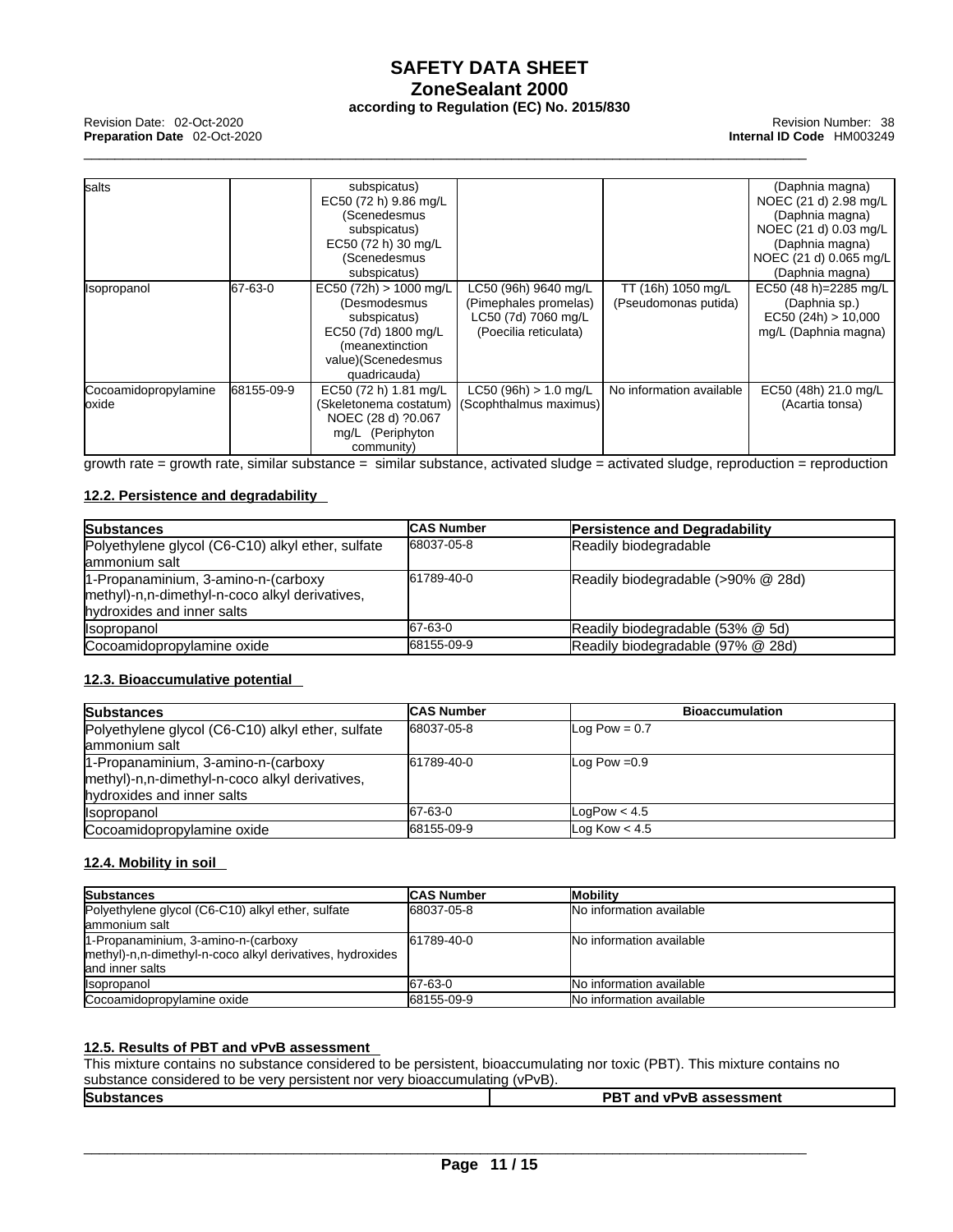\_\_\_\_\_\_\_\_\_\_\_\_\_\_\_\_\_\_\_\_\_\_\_\_\_\_\_\_\_\_\_\_\_\_\_\_\_\_\_\_\_\_\_\_\_\_\_\_\_\_\_\_\_\_\_\_\_\_\_\_\_\_\_\_\_\_\_\_\_\_\_\_\_\_\_\_\_\_\_\_\_\_\_\_\_\_\_\_\_\_\_\_\_ Revision Date: 02-Oct-2020 Revision Number: <sup>38</sup> **Preparation Date** 02-Oct-2020 **Internal ID Code** HM003249

| <b>salts</b>         |            | subspicatus)           |                         |                          | (Daphnia magna)        |
|----------------------|------------|------------------------|-------------------------|--------------------------|------------------------|
|                      |            | EC50 (72 h) 9.86 mg/L  |                         |                          | NOEC (21 d) 2.98 mg/L  |
|                      |            | (Scenedesmus           |                         |                          | (Daphnia magna)        |
|                      |            | subspicatus)           |                         |                          | NOEC (21 d) 0.03 mg/L  |
|                      |            | EC50 (72 h) 30 mg/L    |                         |                          | (Daphnia magna)        |
|                      |            | (Scenedesmus           |                         |                          | NOEC (21 d) 0.065 mg/L |
|                      |            | subspicatus)           |                         |                          | (Daphnia magna)        |
| Isopropanol          | 67-63-0    | EC50 (72h) > 1000 mg/L | LC50 (96h) 9640 mg/L    | TT (16h) 1050 mg/L       | EC50 (48 h)=2285 mg/L  |
|                      |            | (Desmodesmus           | (Pimephales promelas)   | (Pseudomonas putida)     | (Daphnia sp.)          |
|                      |            | subspicatus)           | LC50 (7d) 7060 mg/L     |                          | EC50 (24h) > 10,000    |
|                      |            | EC50 (7d) 1800 mg/L    | (Poecilia reticulata)   |                          | mg/L (Daphnia magna)   |
|                      |            | (meanextinction        |                         |                          |                        |
|                      |            | value)(Scenedesmus     |                         |                          |                        |
|                      |            | quadricauda)           |                         |                          |                        |
| Cocoamidopropylamine | 68155-09-9 | EC50 (72 h) 1.81 mg/L  | $LC50 (96h) > 1.0$ mg/L | No information available | EC50 (48h) 21.0 mg/L   |
| oxide                |            | (Skeletonema costatum) | (Scophthalmus maximus)  |                          | (Acartia tonsa)        |
|                      |            | NOEC (28 d) ?0.067     |                         |                          |                        |
|                      |            | mg/L (Periphyton       |                         |                          |                        |
|                      |            | community)             |                         |                          |                        |

growth rate = growth rate, similar substance = similar substance, activated sludge = activated sludge, reproduction = reproduction

#### **12.2. Persistence and degradability**

| <b>Substances</b>                                 | <b>CAS Number</b> | <b>Persistence and Degradability</b> |
|---------------------------------------------------|-------------------|--------------------------------------|
| Polyethylene glycol (C6-C10) alkyl ether, sulfate | 68037-05-8        | Readily biodegradable                |
| lammonium salt                                    |                   |                                      |
| 1-Propanaminium, 3-amino-n-(carboxy               | 61789-40-0        | Readily biodegradable (>90% @ 28d)   |
| methyl)-n,n-dimethyl-n-coco alkyl derivatives,    |                   |                                      |
| hydroxides and inner salts                        |                   |                                      |
| <i><b>Isopropanol</b></i>                         | 67-63-0           | Readily biodegradable (53% @ 5d)     |
| Cocoamidopropylamine oxide                        | 68155-09-9        | Readily biodegradable (97% @ 28d)    |

#### **12.3. Bioaccumulative potential**

| <b>Substances</b>                                 | <b>CAS Number</b> | <b>Bioaccumulation</b> |
|---------------------------------------------------|-------------------|------------------------|
| Polyethylene glycol (C6-C10) alkyl ether, sulfate | 68037-05-8        | Log Pow = $0.7$        |
| lammonium salt                                    |                   |                        |
| 1-Propanaminium, 3-amino-n-(carboxy               | 61789-40-0        | Log Pow $=0.9$         |
| methyl)-n,n-dimethyl-n-coco alkyl derivatives,    |                   |                        |
| hydroxides and inner salts                        |                   |                        |
| <b>Isopropanol</b>                                | 67-63-0           | LogPow $< 4.5$         |
| Cocoamidopropylamine oxide                        | 68155-09-9        | Log Kow $< 4.5$        |

#### **12.4. Mobility in soil**

| <b>Substances</b>                                         | <b>CAS Number</b> | <b>Mobility</b>                 |
|-----------------------------------------------------------|-------------------|---------------------------------|
| Polyethylene glycol (C6-C10) alkyl ether, sulfate         | 68037-05-8        | <b>No information available</b> |
| lammonium salt                                            |                   |                                 |
| 1-Propanaminium, 3-amino-n-(carboxy                       | 61789-40-0        | <b>No information available</b> |
| methyl)-n,n-dimethyl-n-coco alkyl derivatives, hydroxides |                   |                                 |
| land inner salts                                          |                   |                                 |
| <i><b>I</b></i> sopropanol                                | 67-63-0           | No information available        |
| Cocoamidopropylamine oxide                                | 68155-09-9        | No information available        |

#### **12.5. Results of PBT and vPvB assessment**

This mixture contains no substance considered to be persistent, bioaccumulating nor toxic (PBT). This mixture contains no substance considered to be very persistent nor very bioaccumulating (vPvB).

| Sub | _ |  | יחר<br><br>.,<br>--<br>пет.<br>___ |
|-----|---|--|------------------------------------|
|     |   |  |                                    |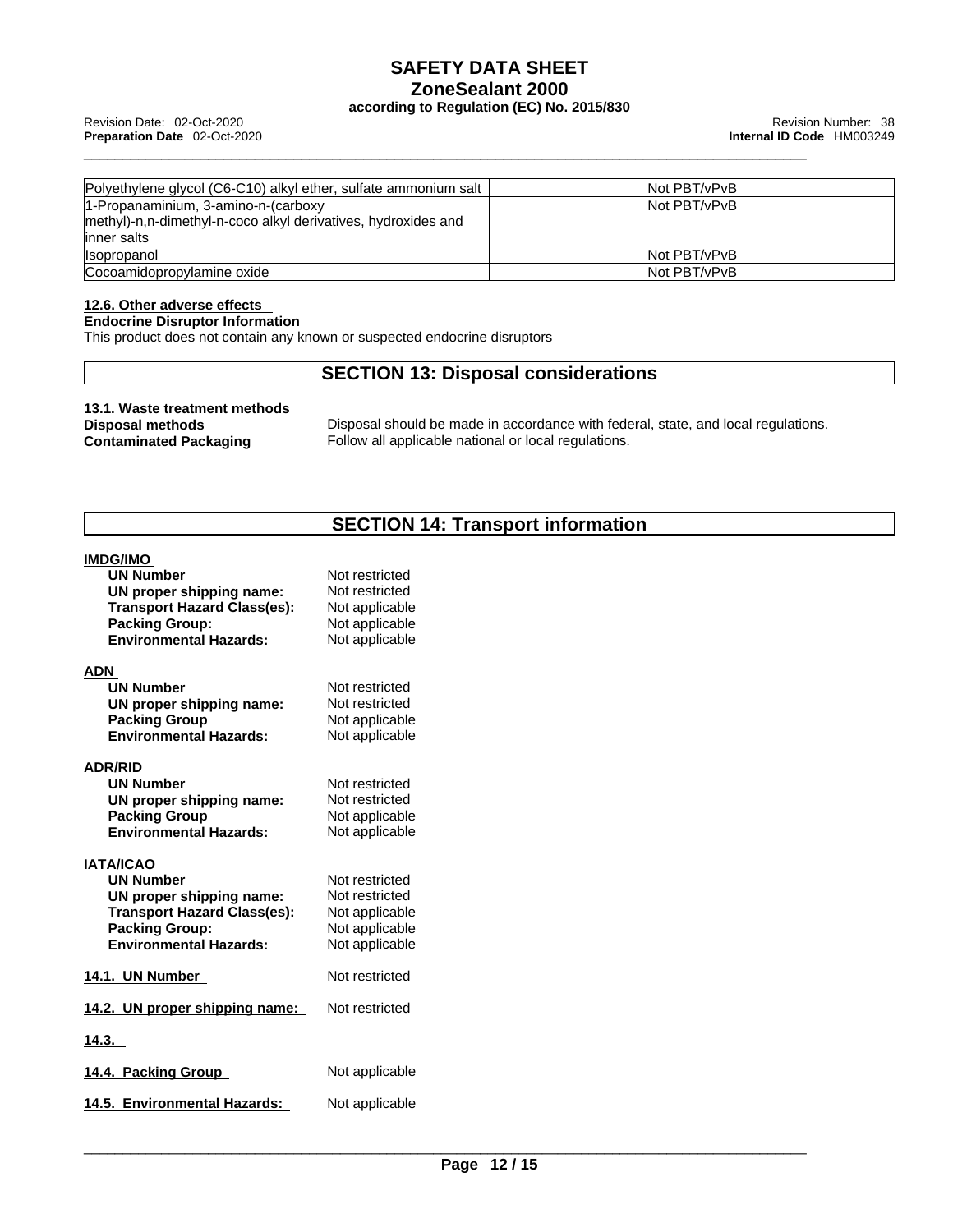\_\_\_\_\_\_\_\_\_\_\_\_\_\_\_\_\_\_\_\_\_\_\_\_\_\_\_\_\_\_\_\_\_\_\_\_\_\_\_\_\_\_\_\_\_\_\_\_\_\_\_\_\_\_\_\_\_\_\_\_\_\_\_\_\_\_\_\_\_\_\_\_\_\_\_\_\_\_\_\_\_\_\_\_\_\_\_\_\_\_\_\_\_ Revision Date: 02-Oct-2020 Revision Number: <sup>38</sup> **Preparation Date** 02-Oct-2020 **Internal ID Code** HM003249

| Polyethylene glycol (C6-C10) alkyl ether, sulfate ammonium salt | Not PBT/vPvB |
|-----------------------------------------------------------------|--------------|
| 1-Propanaminium, 3-amino-n-(carboxy                             | Not PBT/vPvB |
| methyl)-n,n-dimethyl-n-coco alkyl derivatives, hydroxides and   |              |
| linner salts                                                    |              |
| Ilsopropanol                                                    | Not PBT/vPvB |
| Cocoamidopropylamine oxide                                      | Not PBT/vPvB |

#### **12.6. Other adverse effects**

**Endocrine Disruptor Information**

This product does not contain any known or suspected endocrine disruptors

### **SECTION 13: Disposal considerations**

# **13.1. Waste treatment methods**

**Disposal methods** Disposal should be made in accordance with federal, state, and local regulations.<br> **Contaminated Packaging** Follow all applicable national or local regulations. Follow all applicable national or local regulations.

### **SECTION 14: Transport information**

#### **IMDG/IMO**

| <b>UN Number</b>                   | Not restricted |
|------------------------------------|----------------|
| UN proper shipping name:           | Not restricted |
| <b>Transport Hazard Class(es):</b> | Not applicable |
| <b>Packing Group:</b>              | Not applicable |
| <b>Environmental Hazards:</b>      | Not applicable |
| ADN                                |                |
| <b>UN Number</b>                   | Not restricted |
| UN proper shipping name:           | Not restricted |
| <b>Packing Group</b>               | Not applicable |
| <b>Environmental Hazards:</b>      | Not applicable |
| <b>ADR/RID</b>                     |                |
| <b>UN Number</b>                   | Not restricted |
| UN proper shipping name:           | Not restricted |
| <b>Packing Group</b>               | Not applicable |
| <b>Environmental Hazards:</b>      | Not applicable |
| <b>IATA/ICAO</b>                   |                |
| <b>UN Number</b>                   | Not restricted |
| UN proper shipping name:           | Not restricted |
| <b>Transport Hazard Class(es):</b> | Not applicable |
| <b>Packing Group:</b>              | Not applicable |
| <b>Environmental Hazards:</b>      | Not applicable |
| 14.1. UN Number                    | Not restricted |
| 14.2. UN proper shipping name:     | Not restricted |
| 14.3.                              |                |
| 14.4. Packing Group                | Not applicable |
| 14.5. Environmental Hazards:       | Not applicable |
|                                    |                |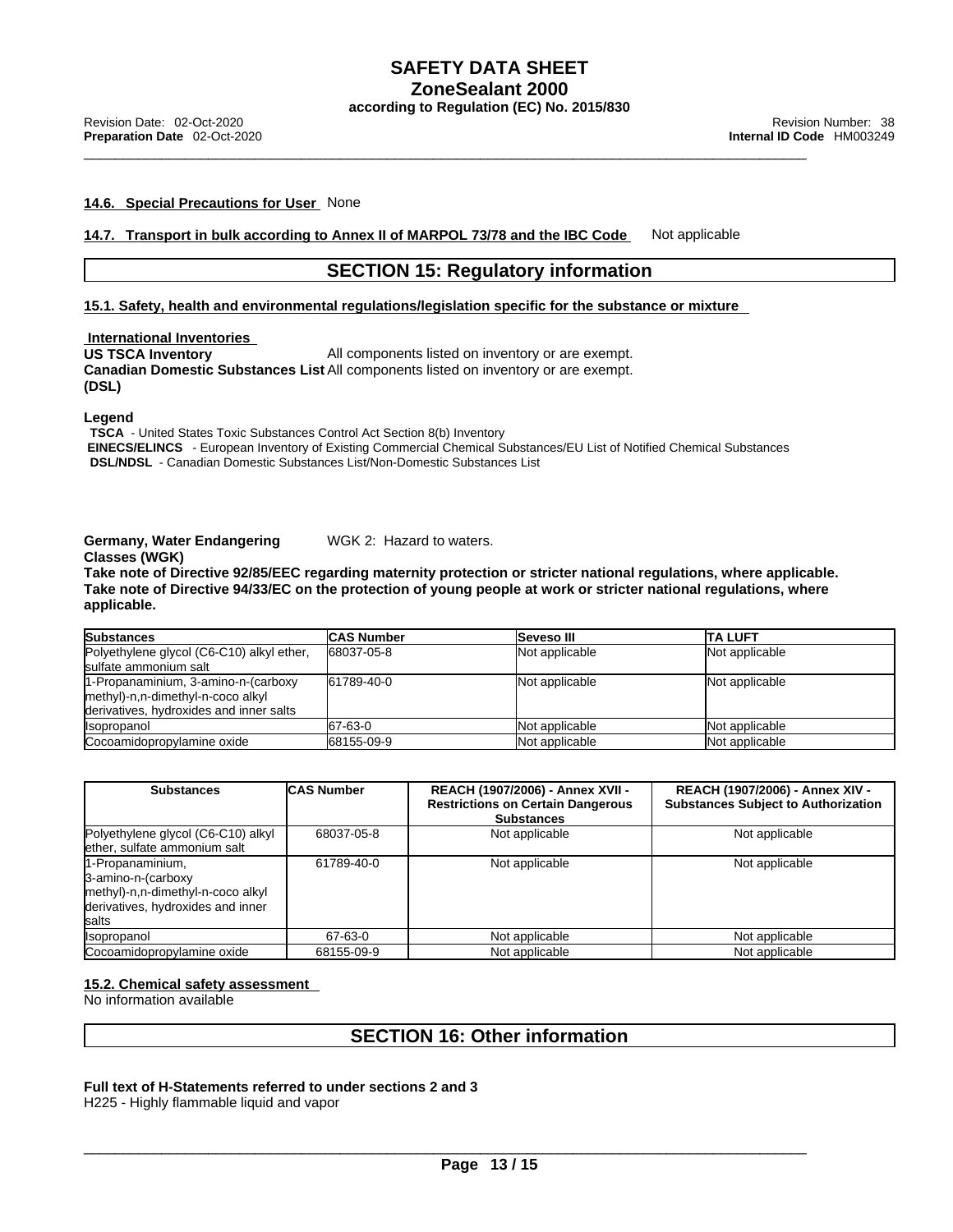#### **14.6. Special Precautions for User** None

**14.7. Transport in bulk according to Annex II of MARPOL 73/78 and the IBC Code** Not applicable

#### **SECTION 15: Regulatory information**

**15.1. Safety, health and environmental regulations/legislation specific for the substance or mixture**

**International Inventories<br>US TSCA Inventory** All components listed on inventory or are exempt. **Canadian Domestic Substances List** All components listed on inventory or are exempt. **(DSL)** 

**Legend** 

**TSCA** - United States Toxic Substances Control Act Section 8(b) Inventory  **EINECS/ELINCS** - European Inventory of Existing Commercial Chemical Substances/EU List of Notified Chemical Substances **DSL/NDSL** - Canadian Domestic Substances List/Non-Domestic Substances List

#### **Germany, Water Endangering Classes (WGK)**

WGK 2: Hazard to waters.

**Take note of Directive 92/85/EEC regarding maternity protection or stricter national regulations, where applicable.** Take note of Directive 94/33/EC on the protection of young people at work or stricter national regulations, where **applicable.** 

| <b>Substances</b>                         | <b>CAS Number</b> | <b>Seveso III</b> | <b>ITA LUFT</b> |
|-------------------------------------------|-------------------|-------------------|-----------------|
| Polyethylene glycol (C6-C10) alkyl ether, | 68037-05-8        | Not applicable    | Not applicable  |
| sulfate ammonium salt                     |                   |                   |                 |
| 1-Propanaminium, 3-amino-n-(carboxy       | 61789-40-0        | Not applicable    | Not applicable  |
| methyl)-n,n-dimethyl-n-coco alkyl         |                   |                   |                 |
| derivatives, hydroxides and inner salts   |                   |                   |                 |
| <i><b>Isopropanol</b></i>                 | 67-63-0           | Not applicable    | Not applicable  |
| Cocoamidopropylamine oxide                | 68155-09-9        | Not applicable    | Not applicable  |

| <b>Substances</b>                                                                                                                | <b>ICAS Number</b> | REACH (1907/2006) - Annex XVII -<br><b>Restrictions on Certain Dangerous</b><br><b>Substances</b> | <b>REACH (1907/2006) - Annex XIV -</b><br><b>Substances Subject to Authorization</b> |
|----------------------------------------------------------------------------------------------------------------------------------|--------------------|---------------------------------------------------------------------------------------------------|--------------------------------------------------------------------------------------|
| Polyethylene glycol (C6-C10) alkyl<br>lether, sulfate ammonium salt                                                              | 68037-05-8         | Not applicable                                                                                    | Not applicable                                                                       |
| 1-Propanaminium,<br>3-amino-n-(carboxy<br>methyl)-n,n-dimethyl-n-coco alkyl<br>derivatives, hydroxides and inner<br><b>Salts</b> | 61789-40-0         | Not applicable                                                                                    | Not applicable                                                                       |
| <b>Isopropanol</b>                                                                                                               | 67-63-0            | Not applicable                                                                                    | Not applicable                                                                       |
| Cocoamidopropylamine oxide                                                                                                       | 68155-09-9         | Not applicable                                                                                    | Not applicable                                                                       |

#### **15.2. Chemical safety assessment**

No information available

#### **SECTION 16: Other information**

#### **Full text of H-Statements referred to undersections 2 and 3**

H225 - Highly flammable liquid and vapor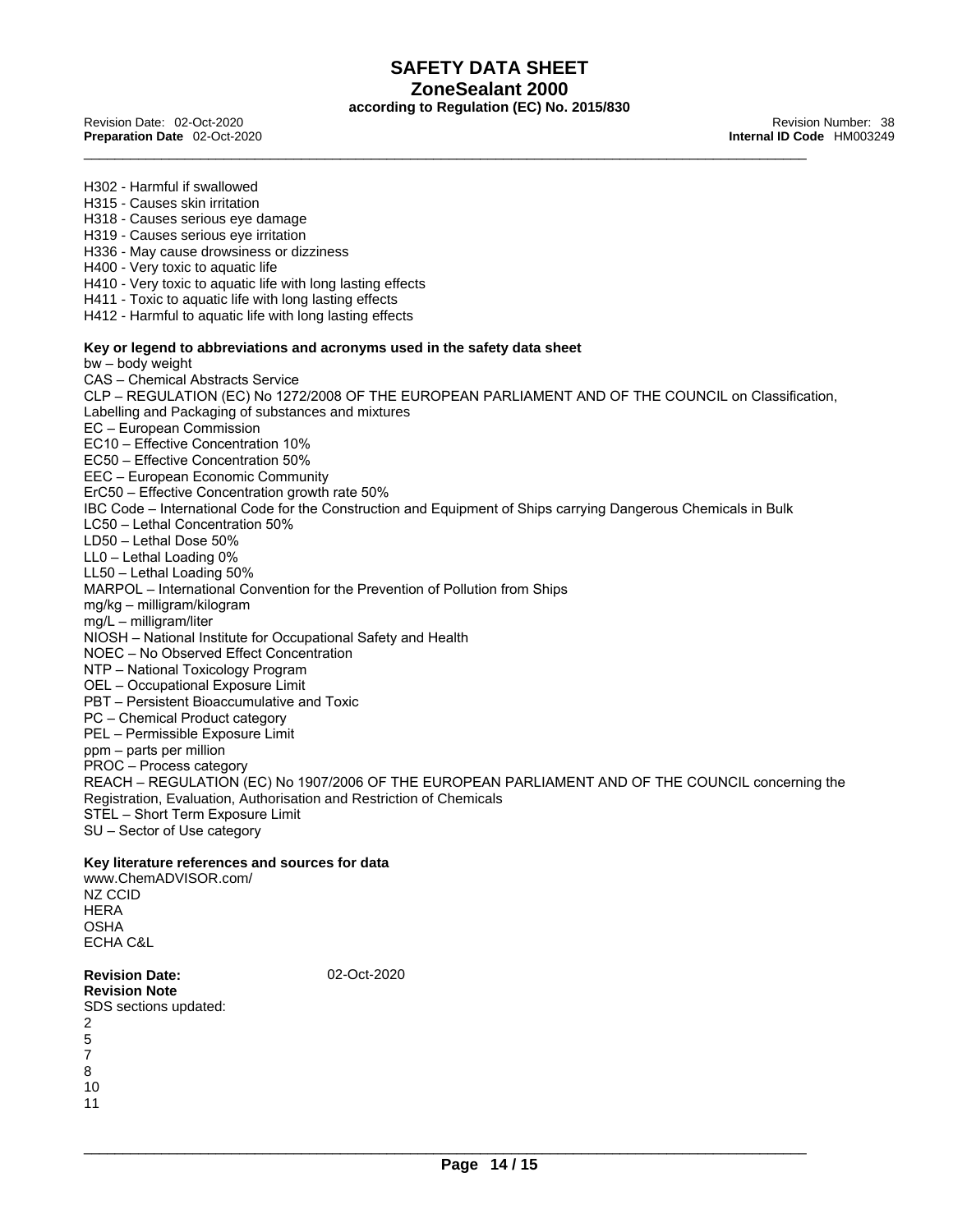\_\_\_\_\_\_\_\_\_\_\_\_\_\_\_\_\_\_\_\_\_\_\_\_\_\_\_\_\_\_\_\_\_\_\_\_\_\_\_\_\_\_\_\_\_\_\_\_\_\_\_\_\_\_\_\_\_\_\_\_\_\_\_\_\_\_\_\_\_\_\_\_\_\_\_\_\_\_\_\_\_\_\_\_\_\_\_\_\_\_\_\_\_ Revision Date: 02-Oct-2020 Revision Number: <sup>38</sup> **Preparation Date** 02-Oct-2020 **Internal ID Code** HM003249

H302 - Harmful if swallowed H315 - Causes skin irritation H318 - Causes serious eye damage H319 - Causes serious eye irritation H336 - May cause drowsiness or dizziness H400 - Very toxic to aquatic life H410 - Very toxic to aquatic life with long lasting effects H411 - Toxic to aquatic life with long lasting effects H412 - Harmful to aquatic life with long lasting effects **Key or legend to abbreviations and acronyms used in the safety data sheet** bw – body weight CAS – Chemical Abstracts Service CLP – REGULATION (EC) No 1272/2008 OF THE EUROPEAN PARLIAMENT AND OF THE COUNCIL on Classification, Labelling and Packaging of substances and mixtures EC – European Commission EC10 – Effective Concentration 10% EC50 – Effective Concentration 50% EEC – European Economic Community ErC50 – Effective Concentration growth rate 50% IBC Code – International Code for the Construction and Equipment of Ships carrying Dangerous Chemicals in Bulk LC50 – Lethal Concentration 50% LD50 – Lethal Dose 50% LL0 – Lethal Loading 0% LL50 – Lethal Loading 50% MARPOL – International Convention for the Prevention of Pollution from Ships mg/kg – milligram/kilogram mg/L – milligram/liter NIOSH – National Institute for Occupational Safety and Health NOEC – No Observed Effect Concentration NTP – National Toxicology Program OEL – Occupational Exposure Limit PBT – Persistent Bioaccumulative and Toxic PC – Chemical Product category PEL – Permissible Exposure Limit ppm – parts per million PROC – Process category REACH – REGULATION (EC) No 1907/2006 OF THE EUROPEAN PARLIAMENT AND OF THE COUNCIL concerning the Registration, Evaluation, Authorisation and Restriction of Chemicals STEL – Short Term Exposure Limit SU – Sector of Use category **Key literature references and sources for data** www.ChemADVISOR.com/ NZ CCID **HERA** OSHA ECHA C&L

**Revision Date:** 02-Oct-2020 **Revision Note** SDS sections updated: 2 5 7 8 10 11